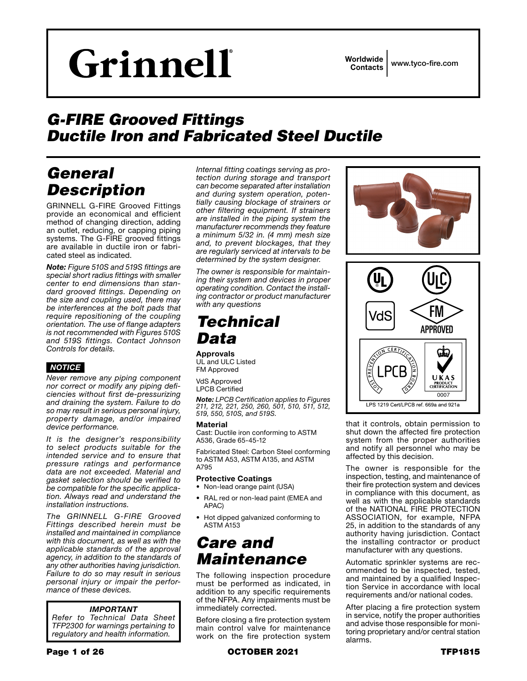# Grinnell

Worldwide Contacts www.tyco-fire.com

## *G-FIRE Grooved Fittings Ductile Iron and Fabricated Steel Ductile*

## *General Description*

GRINNELL G-FIRE Grooved Fittings provide an economical and efficient method of changing direction, adding an outlet, reducing, or capping piping systems. The G-FIRE grooved fittings are available in ductile iron or fabricated steel as indicated.

*Note: Figure 510S and 519S fittings are special short radius fittings with smaller center to end dimensions than standard grooved fittings. Depending on the size and coupling used, there may be interferences at the bolt pads that require repositioning of the coupling orientation. The use of flange adapters is not recommended with Figures 510S and 519S fittings. Contact Johnson Controls for details.*

#### *NOTICE*

*Never remove any piping component nor correct or modify any piping deficiencies without first de-pressurizing and draining the system. Failure to do so may result in serious personal injury, property damage, and/or impaired device performance.*

*It is the designer's responsibility to select products suitable for the intended service and to ensure that pressure ratings and performance data are not exceeded. Material and gasket selection should be verified to be compatible for the specific application. Always read and understand the installation instructions.*

*The GRINNELL G-FIRE Grooved Fittings described herein must be installed and maintained in compliance with this document, as well as with the applicable standards of the approval agency, in addition to the standards of any other authorities having jurisdiction. Failure to do so may result in serious personal injury or impair the performance of these devices.*

#### *IMPORTANT*

*Refer to Technical Data Sheet TFP2300 for warnings pertaining to regulatory and health information.*

*Internal fitting coatings serving as protection during storage and transport can become separated after installation and during system operation, potentially causing blockage of strainers or other filtering equipment. If strainers are installed in the piping system the manufacturer recommends they feature a minimum 5/32 in. (4 mm) mesh size and, to prevent blockages, that they are regularly serviced at intervals to be determined by the system designer.*

*The owner is responsible for maintaining their system and devices in proper operating condition. Contact the installing contractor or product manufacturer with any questions*

## *Technical Data*

#### Approvals

UL and ULC Listed FM Approved

VdS Approved LPCB Certified

*Note: LPCB Certification applies to Figures 211, 212, 221, 250, 260, 501, 510, 511, 512, 519, 550, 510S, and 519S.*

#### Material

Cast: Ductile iron conforming to ASTM A536, Grade 65-45-12

Fabricated Steel: Carbon Steel conforming to ASTM A53, ASTM A135, and ASTM A795

#### Protective Coatings

- Non-lead orange paint (USA)
- RAL red or non-lead paint (EMEA and APAC)
- Hot dipped galvanized conforming to ASTM A153

## *Care and Maintenance*

The following inspection procedure must be performed as indicated, in addition to any specific requirements of the NFPA. Any impairments must be immediately corrected.

Before closing a fire protection system main control valve for maintenance work on the fire protection system





that it controls, obtain permission to shut down the affected fire protection system from the proper authorities and notify all personnel who may be affected by this decision.

The owner is responsible for the inspection, testing, and maintenance of their fire protection system and devices in compliance with this document, as well as with the applicable standards of the NATIONAL FIRE PROTECTION ASSOCIATION, for example, NFPA 25, in addition to the standards of any authority having jurisdiction. Contact the installing contractor or product manufacturer with any questions.

Automatic sprinkler systems are recommended to be inspected, tested, and maintained by a qualified Inspection Service in accordance with local requirements and/or national codes.

After placing a fire protection system in service, notify the proper authorities and advise those responsible for monitoring proprietary and/or central station alarms.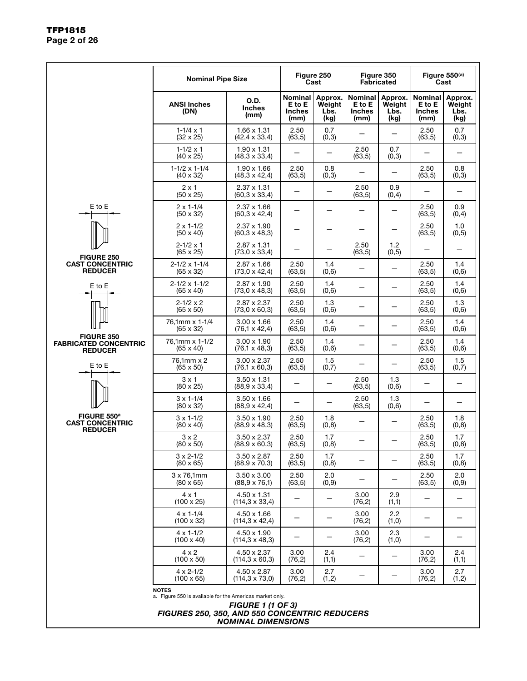|                                                                     | <b>Nominal Pipe Size</b>                                                                                                         |                                                       |                                            | Figure 250<br>Cast                | Figure 350<br><b>Fabricated</b>                   |                                   |                                                   | Figure 550(a)<br>Cast             |  |
|---------------------------------------------------------------------|----------------------------------------------------------------------------------------------------------------------------------|-------------------------------------------------------|--------------------------------------------|-----------------------------------|---------------------------------------------------|-----------------------------------|---------------------------------------------------|-----------------------------------|--|
|                                                                     | <b>ANSI Inches</b><br>(DN)                                                                                                       | O.D.<br><b>Inches</b><br>(mm)                         | Nominal<br>E to E<br><b>Inches</b><br>(mm) | Approx.<br>Weight<br>Lbs.<br>(kg) | <b>Nominal</b><br>E to E<br><b>Inches</b><br>(mm) | Approx.<br>Weight<br>Lbs.<br>(kg) | <b>Nominal</b><br>E to E<br><b>Inches</b><br>(mm) | Approx.<br>Weight<br>Lbs.<br>(kg) |  |
|                                                                     | $1 - 1/4 \times 1$<br>$(32 \times 25)$                                                                                           | $1.66 \times 1.31$<br>$(42, 4 \times 33, 4)$          | 2.50<br>(63, 5)                            | 0.7<br>(0,3)                      |                                                   |                                   | 2.50<br>(63, 5)                                   | 0.7<br>(0,3)                      |  |
|                                                                     | $1 - 1/2 \times 1$<br>$(40 \times 25)$                                                                                           | $1.90 \times 1.31$<br>$(48,3 \times 33,4)$            |                                            |                                   | 2.50<br>(63, 5)                                   | 0.7<br>(0,3)                      |                                                   |                                   |  |
|                                                                     | $1-1/2 \times 1-1/4$<br>$(40 \times 32)$                                                                                         | $1.90 \times 1.66$<br>$(48,3 \times 42,4)$            | 2.50<br>(63, 5)                            | 0.8<br>(0,3)                      |                                                   |                                   | 2.50<br>(63, 5)                                   | 0.8<br>(0,3)                      |  |
|                                                                     | $2 \times 1$<br>$(50 \times 25)$                                                                                                 | $2.37 \times 1.31$<br>$(60, 3 \times 33, 4)$          |                                            |                                   | 2.50<br>(63, 5)                                   | 0.9<br>(0,4)                      |                                                   | $\overline{\phantom{0}}$          |  |
| E to E                                                              | $2 \times 1 - 1/4$<br>$(50 \times 32)$                                                                                           | 2.37 x 1.66<br>$(60,3 \times 42,4)$                   |                                            |                                   |                                                   |                                   | 2.50<br>(63, 5)                                   | 0.9<br>(0,4)                      |  |
|                                                                     | $2 \times 1 - 1/2$<br>$(50 \times 40)$                                                                                           | $2.37 \times 1.90$<br>(60,3 x 48,3)                   |                                            |                                   |                                                   |                                   | 2.50<br>(63, 5)                                   | 1.0<br>(0, 5)                     |  |
| <b>FIGURE 250</b>                                                   | $2 - 1/2 \times 1$<br>$(65 \times 25)$                                                                                           | $2.87 \times 1.31$<br>$(73.0 \times 33.4)$            |                                            |                                   | 2.50<br>(63, 5)                                   | 1.2<br>(0, 5)                     |                                                   |                                   |  |
| <b>CAST CONCENTRIC</b><br><b>REDUCER</b>                            | $2 - 1/2 \times 1 - 1/4$<br>$(65 \times 32)$                                                                                     | $2.87 \times 1.66$<br>$(73,0 \times 42,4)$            | 2.50<br>(63, 5)                            | 1.4<br>(0,6)                      | —                                                 |                                   | 2.50<br>(63, 5)                                   | 1.4<br>(0,6)                      |  |
| E to E                                                              | $2 - 1/2 \times 1 - 1/2$<br>$(65 \times 40)$                                                                                     | $2.87 \times 1.90$<br>(73,0 x 48,3)                   | 2.50<br>(63, 5)                            | 1.4<br>(0,6)                      | $\overline{\phantom{0}}$                          |                                   | 2.50<br>(63, 5)                                   | 1.4<br>(0,6)                      |  |
|                                                                     | $2 - 1/2 \times 2$<br>$(65 \times 50)$                                                                                           | $2.87 \times 2.37$<br>$(73,0 \times 60,3)$            | 2.50<br>(63, 5)                            | 1.3<br>(0,6)                      | —                                                 |                                   | 2.50<br>(63, 5)                                   | 1.3<br>(0,6)                      |  |
|                                                                     | 76,1mm x 1-1/4<br>$(65 \times 32)$                                                                                               | $3.00 \times 1.66$<br>$(76, 1 \times 42, 4)$          | 2.50<br>(63, 5)                            | 1.4<br>(0,6)                      |                                                   |                                   | 2.50<br>(63, 5)                                   | 1.4<br>(0,6)                      |  |
| <b>FIGURE 350</b><br><b>FABRICATED CONCENTRIC</b><br><b>REDUCER</b> | 76,1mm x 1-1/2<br>$(65 \times 40)$                                                                                               | $3.00 \times 1.90$<br>(76,1 x 48,3)                   | 2.50<br>(63, 5)                            | 1.4<br>(0,6)                      |                                                   |                                   | 2.50<br>(63, 5)                                   | 1.4<br>(0,6)                      |  |
| E to E                                                              | 76,1mm x 2<br>$(65 \times 50)$                                                                                                   | $3.00 \times 2.37$<br>$(76, 1 \times 60, 3)$          | 2.50<br>(63, 5)                            | 1.5<br>(0,7)                      |                                                   |                                   | 2.50<br>(63, 5)                                   | 1.5<br>(0,7)                      |  |
|                                                                     | $3 \times 1$<br>$(80 \times 25)$                                                                                                 | $3.50 \times 1.31$<br>$(88, 9 \times 33, 4)$          |                                            | $\qquad \qquad -$                 | 2.50<br>(63, 5)                                   | 1.3<br>(0,6)                      |                                                   |                                   |  |
|                                                                     | $3 \times 1 - 1/4$<br>$(80 \times 32)$                                                                                           | $3.50 \times 1.66$<br>$(88, 9 \times 42, 4)$          |                                            |                                   | 2.50<br>(63, 5)                                   | 1.3<br>(0,6)                      |                                                   |                                   |  |
| FIGURE 550 <sup>a</sup><br><b>CAST CONCENTRIC</b><br><b>REDUCER</b> | $3 \times 1 - 1/2$<br>$(80 \times 40)$                                                                                           | $3.50 \times 1.90$<br>(88,9 x 48,3)                   | 2.50<br>(63, 5)                            | 1.8<br>(0,8)                      |                                                   |                                   | 2.50<br>(63, 5)                                   | 1.8<br>(0,8)                      |  |
|                                                                     | $3 \times 2$<br>$(80 \times 50)$                                                                                                 | $3.50 \times 2.37$<br>$(88, 9 \times 60, 3)$          | 2.50<br>(63, 5)                            | 1.7<br>(0, 8)                     |                                                   |                                   | 2.50<br>(63, 5)                                   | 1.7<br>(0, 8)                     |  |
|                                                                     | $3 \times 2 - 1/2$<br>$(80 \times 65)$                                                                                           | $3.50 \times 2.87$<br>$(88,9 \times 70,3)$            | 2.50<br>(63, 5)                            | 1.7<br>(0,8)                      |                                                   |                                   | 2.50<br>(63, 5)                                   | 1.7<br>(0, 8)                     |  |
|                                                                     | $3 \times 76,1$ mm<br>$(80 \times 65)$                                                                                           | $3.50 \times 3.00$<br>$(88, 9 \times 76, 1)$          | 2.50<br>(63, 5)                            | 2.0<br>(0,9)                      |                                                   |                                   | 2.50<br>(63, 5)                                   | 2.0<br>(0, 9)                     |  |
|                                                                     | $4 \times 1$<br>$(100 \times 25)$                                                                                                | $4.50 \times 1.31$<br>$(114, 3 \times 33, 4)$         |                                            |                                   | 3.00<br>(76, 2)                                   | 2.9<br>(1,1)                      |                                                   |                                   |  |
|                                                                     | $4 \times 1 - 1/4$<br>$(100 \times 32)$                                                                                          | $4.50 \times 1.66$<br>$(114.3 \times 42.4)$           |                                            |                                   | 3.00<br>(76, 2)                                   | 2.2<br>(1,0)                      |                                                   |                                   |  |
|                                                                     | $4 \times 1 - 1/2$<br>$(100 \times 40)$                                                                                          | 4.50 x 1.90<br>$(114.3 \times 48.3)$                  |                                            |                                   | 3.00<br>(76, 2)                                   | 2.3<br>(1,0)                      |                                                   |                                   |  |
|                                                                     | $4 \times 2$<br>$(100 \times 50)$                                                                                                | $4.50 \times 2.37$<br>(114,3 x 60,3)                  | 3.00<br>(76, 2)                            | 2.4<br>(1,1)                      |                                                   |                                   | 3.00<br>(76,2)                                    | 2.4<br>(1,1)                      |  |
|                                                                     | $4 \times 2 - 1/2$<br>$(100 \times 65)$                                                                                          | 4.50 x 2.87<br>(114,3 x 73,0)                         | 3.00<br>(76, 2)                            | 2.7<br>(1,2)                      |                                                   |                                   | 3.00<br>(76, 2)                                   | 2.7<br>(1,2)                      |  |
|                                                                     | <b>NOTES</b><br>a. Figure 550 is available for the Americas market only.<br><b>FIGURES 250, 350, AND 550 CONCENTRIC REDUCERS</b> | <b>FIGURE 1 (1 OF 3)</b><br><b>NOMINAL DIMENSIONS</b> |                                            |                                   |                                                   |                                   |                                                   |                                   |  |

#### TFP1815 Page 2 of 26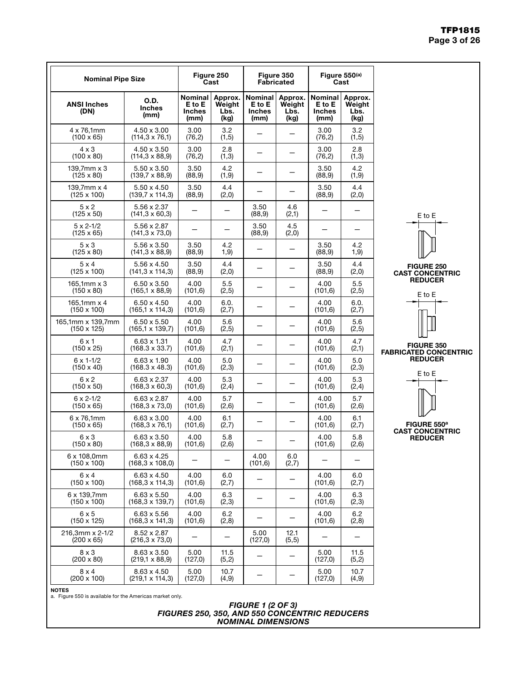#### TFP1815 Page 3 of 26

| <b>Nominal Pipe Size</b>                   |                                                |                                            | Figure 250<br>Cast                |                                                   | Figure 350<br><b>Fabricated</b>   |                                            | Figure 550(a)<br>Cast             |                                                   |
|--------------------------------------------|------------------------------------------------|--------------------------------------------|-----------------------------------|---------------------------------------------------|-----------------------------------|--------------------------------------------|-----------------------------------|---------------------------------------------------|
| <b>ANSI Inches</b><br>(DN)                 | O.D.<br><b>Inches</b><br>(mm)                  | Nominal<br>E to E<br><b>Inches</b><br>(mm) | Approx.<br>Weight<br>Lbs.<br>(kg) | <b>Nominal</b><br>E to E<br><b>Inches</b><br>(mm) | Approx.<br>Weight<br>Lbs.<br>(kg) | Nominal<br>E to E<br><b>Inches</b><br>(mm) | Approx.<br>Weight<br>Lbs.<br>(kg) |                                                   |
| 4 x 76,1mm<br>$(100 \times 65)$            | 4.50 x 3.00<br>$(114.3 \times 76.1)$           | 3.00<br>(76, 2)                            | 3.2<br>(1, 5)                     |                                                   |                                   | 3.00<br>(76, 2)                            | 3.2<br>(1, 5)                     |                                                   |
| $4 \times 3$<br>$(100 \times 80)$          | 4.50 x 3.50<br>$(114, 3 \times 88, 9)$         | 3.00<br>(76, 2)                            | 2.8<br>(1,3)                      | $\overline{\phantom{0}}$                          |                                   | 3.00<br>(76, 2)                            | 2.8<br>(1,3)                      |                                                   |
| $139,7$ mm $\times$ 3<br>$(125 \times 80)$ | $5.50 \times 3.50$<br>(139,7 x 88,9)           | 3.50<br>(88, 9)                            | 4.2<br>(1, 9)                     |                                                   |                                   | 3.50<br>(88, 9)                            | 4.2<br>(1, 9)                     |                                                   |
| 139.7 $mm \times 4$<br>$(125 \times 100)$  | 5.50 x 4.50<br>$(139.7 \times 114.3)$          | 3.50<br>(88, 9)                            | 4.4<br>(2,0)                      |                                                   |                                   | 3.50<br>(88, 9)                            | 4.4<br>(2,0)                      |                                                   |
| $5 \times 2$<br>$(125 \times 50)$          | 5.56 x 2.37<br>$(141, 3 \times 60, 3)$         |                                            | $\overline{\phantom{0}}$          | 3.50<br>(88, 9)                                   | 4.6<br>(2,1)                      |                                            | -                                 | E to E                                            |
| $5 \times 2 - 1/2$<br>$(125 \times 65)$    | 5.56 x 2.87<br>(141,3 x 73,0)                  |                                            |                                   | 3.50<br>(88, 9)                                   | 4.5<br>(2,0)                      |                                            |                                   |                                                   |
| $5 \times 3$<br>$(125 \times 80)$          | 5.56 x 3.50<br>$(141, 3 \times 88, 9)$         | 3.50<br>(88, 9)                            | 4.2<br>1, 9)                      |                                                   |                                   | 3.50<br>(88, 9)                            | 4.2<br>1, 9)                      |                                                   |
| $5 \times 4$<br>$(125 \times 100)$         | 5.56 x 4.50<br>$(141.3 \times 114.3)$          | 3.50<br>(88, 9)                            | 4.4<br>(2,0)                      |                                                   |                                   | 3.50<br>(88, 9)                            | 4.4<br>(2,0)                      | <b>FIGURE 250</b><br><b>CAST CONCENTRIC</b>       |
| $165,1mm \times 3$<br>$(150 \times 80)$    | 6.50 x 3.50<br>$(165.1 \times 88.9)$           | 4.00<br>(101, 6)                           | 5.5<br>(2, 5)                     |                                                   |                                   | 4.00<br>(101, 6)                           | 5.5<br>(2, 5)                     | <b>REDUCER</b><br>E to E                          |
| 165,1mm x 4<br>$(150 \times 100)$          | $6.50 \times 4.50$<br>$(165, 1 \times 114, 3)$ | 4.00<br>(101, 6)                           | 6.0.<br>(2,7)                     |                                                   |                                   | 4.00<br>(101, 6)                           | 6.0.<br>(2,7)                     |                                                   |
| 165,1mm x 139,7mm<br>$(150 \times 125)$    | $6.50 \times 5.50$<br>$(165, 1 \times 139, 7)$ | 4.00<br>(101, 6)                           | 5.6<br>(2, 5)                     | —                                                 |                                   | 4.00<br>(101, 6)                           | 5.6<br>(2, 5)                     |                                                   |
| $6 \times 1$<br>$(150 \times 25)$          | $6.63 \times 1.31$<br>$(168.3 \times 33.7)$    | 4.00<br>(101, 6)                           | 4.7<br>(2,1)                      | $\overline{\phantom{0}}$                          |                                   | 4.00<br>(101, 6)                           | 4.7<br>(2,1)                      | <b>FIGURE 350</b><br><b>FABRICATED CONCENTRIC</b> |
| $6 \times 1 - 1/2$<br>$(150 \times 40)$    | $6.63 \times 1.90$<br>(168.3 x 48.3)           | 4.00<br>(101, 6)                           | 5.0<br>(2,3)                      |                                                   |                                   | 4.00<br>(101, 6)                           | 5.0<br>(2,3)                      | <b>REDUCER</b>                                    |
| $6 \times 2$<br>$(150 \times 50)$          | $6.63 \times 2.37$<br>$(168, 3 \times 60, 3)$  | 4.00<br>(101, 6)                           | 5.3<br>(2,4)                      |                                                   |                                   | 4.00<br>(101, 6)                           | 5.3<br>(2,4)                      | E to E                                            |
| $6 \times 2 - 1/2$<br>$(150 \times 65)$    | 6.63 x 2.87<br>$(168, 3 \times 73, 0)$         | 4.00<br>(101, 6)                           | 5.7<br>(2,6)                      |                                                   |                                   | 4.00<br>(101, 6)                           | 5.7<br>(2,6)                      |                                                   |
| 6 x 76,1mm<br>$(150 \times 65)$            | $6.63 \times 3.00$<br>$(168, 3 \times 76, 1)$  | 4.00<br>(101, 6)                           | 6.1<br>(2,7)                      |                                                   |                                   | 4.00<br>(101, 6)                           | 6.1<br>(2,7)                      | FIGURE 550 <sup>a</sup>                           |
| $6 \times 3$<br>$(150 \times 80)$          | $6.63 \times 3.50$<br>(168,3 x 88,9)           | 4.00<br>(101, 6)                           | 5.8<br>(2,6)                      |                                                   |                                   | 4.00<br>(101.6)                            | 5.8<br>(2,6)                      | <b>CAST CONCENTRIC</b><br><b>REDUCER</b>          |
| 6 x 108,0mm<br>$(150 \times 100)$          | 6.63 x 4.25<br>$(168, 3 \times 108, 0)$        |                                            | —                                 | 4.00<br>(101, 6)                                  | 6.0<br>(2,7)                      |                                            | -                                 |                                                   |
| $6 \times 4$<br>$(150 \times 100)$         | $6.63 \times 4.50$<br>$(168, 3 \times 114, 3)$ | 4.00<br>(101, 6)                           | 6.0<br>(2,7)                      |                                                   |                                   | 4.00<br>(101, 6)                           | 6.0<br>(2,7)                      |                                                   |
| 6 x 139,7mm<br>$(150 \times 100)$          | $6.63 \times 5.50$<br>$(168, 3 \times 139, 7)$ | 4.00<br>(101, 6)                           | 6.3<br>(2,3)                      | $\overline{\phantom{0}}$                          | $\overline{\phantom{0}}$          | 4.00<br>(101, 6)                           | 6.3<br>(2,3)                      |                                                   |
| $6 \times 5$<br>$(150 \times 125)$         | $6.63 \times 5.56$<br>$(168, 3 \times 141, 3)$ | 4.00<br>(101, 6)                           | 6.2<br>(2,8)                      |                                                   |                                   | 4.00<br>(101, 6)                           | 6.2<br>(2,8)                      |                                                   |
| 216,3mm x 2-1/2<br>$(200 \times 65)$       | 8.52 x 2.87<br>$(216.3 \times 73.0)$           |                                            |                                   | 5.00<br>(127,0)                                   | 12.1<br>(5,5)                     |                                            |                                   |                                                   |
| $8 \times 3$<br>$(200 \times 80)$          | $8.63 \times 3.50$<br>$(219, 1 \times 88, 9)$  | 5.00<br>(127,0)                            | 11.5<br>(5,2)                     |                                                   | $\overline{\phantom{0}}$          | 5.00<br>(127,0)                            | 11.5<br>(5,2)                     |                                                   |
| $8 \times 4$<br>$(200 \times 100)$         | $8.63 \times 4.50$<br>$(219, 1 \times 114, 3)$ | 5.00<br>(127,0)                            | 10.7<br>(4, 9)                    |                                                   |                                   | 5.00<br>(127,0)                            | 10.7<br>(4, 9)                    |                                                   |
| <b>NOTES</b>                               |                                                |                                            |                                   |                                                   |                                   |                                            |                                   |                                                   |



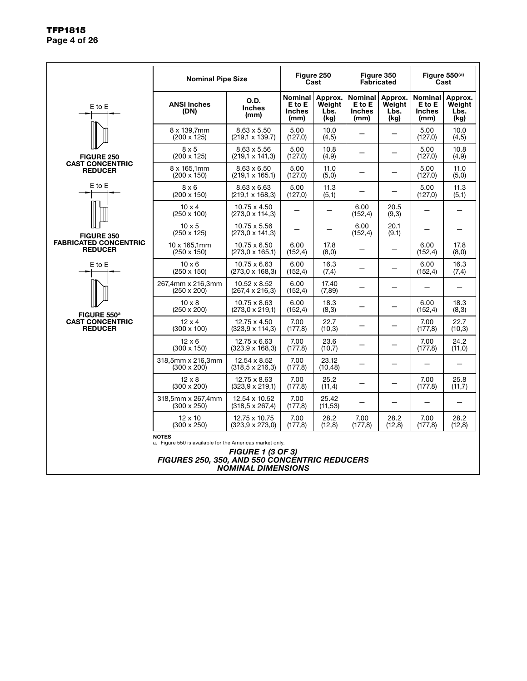|                                                | <b>Nominal Pipe Size</b>                                                                                                  |                                                       | Figure 250<br>Cast                                |                                   | Figure 350<br><b>Fabricated</b>            |                                   |                                                   |                                                                                                                                                                                                                                    |
|------------------------------------------------|---------------------------------------------------------------------------------------------------------------------------|-------------------------------------------------------|---------------------------------------------------|-----------------------------------|--------------------------------------------|-----------------------------------|---------------------------------------------------|------------------------------------------------------------------------------------------------------------------------------------------------------------------------------------------------------------------------------------|
| E to E                                         | <b>ANSI Inches</b><br>(DN)                                                                                                | O.D.<br><b>Inches</b><br>(mm)                         | <b>Nominal</b><br>E to E<br><b>Inches</b><br>(mm) | Approx.<br>Weiaht<br>Lbs.<br>(kg) | Nominal<br>E to E<br><b>Inches</b><br>(mm) | Approx.<br>Weiaht<br>Lbs.<br>(kg) | <b>Nominal</b><br>E to E<br><b>Inches</b><br>(mm) | Approx.<br>Weight<br>Lbs.<br>(kg)                                                                                                                                                                                                  |
|                                                | 8 x 139,7mm<br>$(200 \times 125)$                                                                                         | 8.63 x 5.50<br>$(219.1 \times 139.7)$                 | 5.00<br>(127,0)                                   | 10.0<br>(4, 5)                    |                                            |                                   | 5.00<br>(127,0)                                   | 10.0<br>(4, 5)                                                                                                                                                                                                                     |
| <b>FIGURE 250</b>                              | $8 \times 5$<br>$(200 \times 125)$                                                                                        | $8.63 \times 5.56$<br>$(219, 1 \times 141, 3)$        | 5.00<br>(127,0)                                   | 10.8<br>(4, 9)                    | —                                          |                                   | 5.00<br>(127,0)                                   | 10.8<br>(4, 9)                                                                                                                                                                                                                     |
| <b>CAST CONCENTRIC</b><br><b>REDUCER</b>       | 8 x 165,1mm<br>$(200 \times 150)$                                                                                         | $8.63 \times 6.50$<br>$(219, 1 \times 165.1)$         | 5.00<br>(127,0)                                   | 11.0<br>(5,0)                     |                                            |                                   | 5.00<br>(127,0)                                   | Figure 550(a)<br>Cast<br>11.0<br>(5,0)<br>11.3<br>5.00<br>(5,1)<br>6.00<br>17.8<br>(8,0)<br>16.3<br>(7,4)<br>18.3<br>(8,3)<br>22.7<br>7.00<br>(10,3)<br>24.2<br>7.00<br>(11,0)<br>25.8<br>7.00<br>(11,7)<br>28.2<br>7.00<br>(12,8) |
| $E$ to $E$                                     | $8 \times 6$<br>$(200 \times 150)$                                                                                        | $8.63 \times 6.63$<br>$(219, 1 \times 168, 3)$        | 5.00<br>(127,0)                                   | 11.3<br>(5,1)                     |                                            |                                   | (127,0)                                           |                                                                                                                                                                                                                                    |
|                                                | $10 \times 4$<br>$(250 \times 100)$                                                                                       | 10.75 x 4.50<br>$(273.0 \times 114.3)$                |                                                   |                                   | 6.00<br>(152, 4)                           | 20.5<br>(9,3)                     |                                                   |                                                                                                                                                                                                                                    |
| FIGURE 350                                     | $10 \times 5$<br>$(250 \times 125)$                                                                                       | 10.75 x 5.56<br>$(273,0 \times 141,3)$                |                                                   |                                   | 6.00<br>(152, 4)                           | 20.1<br>(9,1)                     |                                                   |                                                                                                                                                                                                                                    |
| <b>FABRICATED CONCENTRIC</b><br><b>REDUCER</b> | 10 x 165.1mm<br>$(250 \times 150)$                                                                                        | 10.75 x 6.50<br>$(273.0 \times 165.1)$                | 6.00<br>(152, 4)                                  | 17.8<br>(8,0)                     |                                            |                                   | (152, 4)                                          |                                                                                                                                                                                                                                    |
| $E$ to $E$                                     | $10 \times 6$<br>$(250 \times 150)$                                                                                       | 10.75 x 6.63<br>$(273.0 \times 168.3)$                | 6.00<br>(152, 4)                                  | 16.3<br>(7,4)                     |                                            |                                   | 6.00<br>(152, 4)                                  |                                                                                                                                                                                                                                    |
|                                                | 267,4mm x 216,3mm<br>$(250 \times 200)$                                                                                   | $10.52 \times 8.52$<br>$(267, 4 \times 216, 3)$       | 6.00<br>(152, 4)                                  | 17.40<br>(7, 89)                  | $\overline{\phantom{0}}$                   | $\overline{\phantom{0}}$          |                                                   |                                                                                                                                                                                                                                    |
| FIGURE 550 <sup>a</sup>                        | $10 \times 8$<br>$(250 \times 200)$                                                                                       | 10.75 x 8.63<br>$(273,0 \times 219,1)$                | 6.00<br>(152, 4)                                  | 18.3<br>(8, 3)                    |                                            |                                   | 6.00<br>(152, 4)                                  |                                                                                                                                                                                                                                    |
| <b>CAST CONCENTRIC</b><br><b>REDUCER</b>       | $12 \times 4$<br>$(300 \times 100)$                                                                                       | 12.75 x 4.50<br>$(323.9 \times 114.3)$                | 7.00<br>(177,8)                                   | 22.7<br>(10,3)                    |                                            |                                   | (177,8)                                           |                                                                                                                                                                                                                                    |
|                                                | $12 \times 6$<br>$(300 \times 150)$                                                                                       | 12.75 x 6.63<br>$(323.9 \times 168.3)$                | 7.00<br>(177, 8)                                  | 23.6<br>(10,7)                    | -                                          |                                   | (177, 8)<br>(177,8)<br>(177,8)                    |                                                                                                                                                                                                                                    |
|                                                | 318,5mm x 216,3mm<br>$(300 \times 200)$                                                                                   | 12.54 x 8.52<br>$(318, 5 \times 216, 3)$              | 7.00<br>(177, 8)                                  | 23.12<br>(10, 48)                 |                                            |                                   |                                                   |                                                                                                                                                                                                                                    |
|                                                | $12 \times 8$<br>$(300 \times 200)$                                                                                       | 12.75 x 8.63<br>$(323, 9 \times 219, 1)$              | 7.00<br>(177, 8)                                  | 25.2<br>(11,4)                    |                                            |                                   |                                                   |                                                                                                                                                                                                                                    |
|                                                | 318,5mm x 267,4mm<br>$(300 \times 250)$                                                                                   | 12.54 x 10.52<br>$(318, 5 \times 267, 4)$             | 7.00<br>(177, 8)                                  | 25.42<br>(11, 53)                 |                                            |                                   |                                                   |                                                                                                                                                                                                                                    |
|                                                | $12 \times 10$<br>$(300 \times 250)$                                                                                      | 12.75 x 10.75<br>$(323.9 \times 273.0)$               | 7.00<br>(177,8)                                   | 28.2<br>(12,8)                    | 7.00<br>(177,8)                            | 28.2<br>(12,8)                    |                                                   |                                                                                                                                                                                                                                    |
|                                                | <b>NOTES</b><br>a. Figure 550 is available for the Americas market only.<br>FIGURES 250, 350, AND 550 CONCENTRIC REDUCERS | <b>FIGURE 1 (3 OF 3)</b><br><b>NOMINAL DIMENSIONS</b> |                                                   |                                   |                                            |                                   |                                                   |                                                                                                                                                                                                                                    |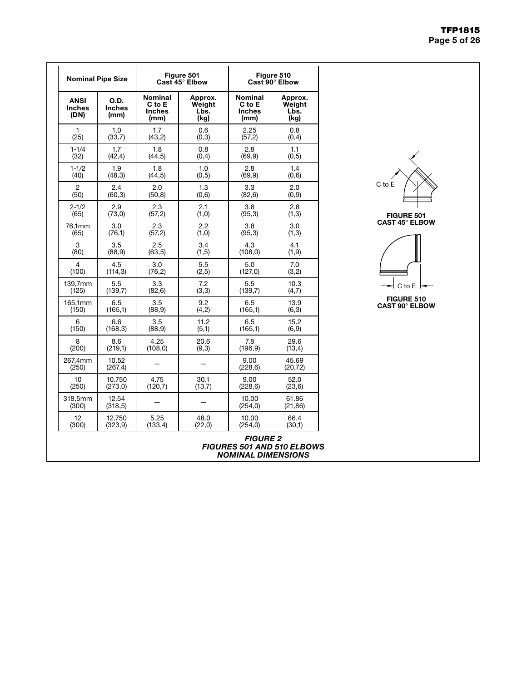|              |  | <b>TFP1815</b> |
|--------------|--|----------------|
| Page 5 of 26 |  |                |

| <b>Nominal Pipe Size</b>             |                               |                                                                                        | Figure 501<br>Cast 45° Elbow | Figure 510<br>Cast 90° Elbow                      |                                   |  |
|--------------------------------------|-------------------------------|----------------------------------------------------------------------------------------|------------------------------|---------------------------------------------------|-----------------------------------|--|
| <b>ANSI</b><br><b>Inches</b><br>(DN) | O.D.<br><b>Inches</b><br>(mm) | <b>Nominal</b><br>Approx.<br>C to E<br>Weight<br><b>Inches</b><br>Lbs.<br>(kg)<br>(mm) |                              | <b>Nominal</b><br>C to E<br><b>Inches</b><br>(mm) | Approx.<br>Weight<br>Lbs.<br>(kg) |  |
| 1                                    | 1.0                           | 1.7                                                                                    | 0.6                          | 2.25                                              | 0.8                               |  |
| (25)                                 | (33,7)                        | (43,2)                                                                                 | (0,3)                        | (57,2)                                            | (0,4)                             |  |
| $1 - 1/4$                            | 1.7                           | 1.8                                                                                    | 0.8                          | 2.8                                               | 1.1                               |  |
| (32)                                 | (42, 4)                       | (44, 5)                                                                                | (0,4)                        | (69, 9)                                           | (0,5)                             |  |
| $1 - 1/2$                            | 1.9                           | 1.8                                                                                    | 1.0                          | 2.8                                               | 1.4                               |  |
| (40)                                 | (48,3)                        | (44,5)                                                                                 | (0,5)                        | (69, 9)                                           | (0,6)                             |  |
| 2                                    | 2.4                           | 2.0                                                                                    | 1.3                          | 3.3                                               | 2.0                               |  |
| (50)                                 | (60, 3)                       | (50, 8)                                                                                | (0,6)                        | (82, 6)                                           | (0,9)                             |  |
| $2 - 1/2$                            | 2.9                           | 2.3                                                                                    | 2.1                          | 3.8                                               | 2.8                               |  |
| (65)                                 | (73, 0)                       | (57,2)                                                                                 | (1,0)                        | (95, 3)                                           | (1,3)                             |  |
| 76,1mm                               | 3.0                           | 2.3                                                                                    | 2.2                          | 3.8                                               | 3.0                               |  |
| (65)                                 | (76,1)                        | (57,2)                                                                                 | (1,0)                        | (95,3)                                            | (1,3)                             |  |
| 3                                    | 3.5                           | 2.5                                                                                    | 3.4                          | 4.3                                               | 4.1                               |  |
| (80)                                 | (88, 9)                       | (63, 5)                                                                                | (1,5)                        | (108, 0)                                          | (1, 9)                            |  |
| 4                                    | 4.5                           | 3.0                                                                                    | 5.5                          | 5.0                                               | 7.0                               |  |
| (100)                                | (114,3)                       | (76,2)                                                                                 | (2, 5)                       | (127,0)                                           | (3,2)                             |  |
| 139,7mm                              | 5.5                           | 3.3                                                                                    | 7.2                          | 5.5                                               | 10.3                              |  |
| (125)                                | (139,7)                       | (82, 6)                                                                                | (3,3)                        | (139,7)                                           | (4,7)                             |  |
| 165,1mm                              | 6.5                           | 3.5                                                                                    | 9.2                          | 6.5                                               | 13.9                              |  |
| (150)                                | (165,1)                       | (88, 9)                                                                                | (4,2)                        | (165,1)                                           | (6,3)                             |  |
| 6                                    | 6.6                           | 3.5                                                                                    | 11.2                         | 6.5                                               | 15.2                              |  |
| (150)                                | (168, 3)                      | (88, 9)                                                                                | (5,1)                        | (165,1)                                           | (6, 9)                            |  |
| 8                                    | 8.6                           | 4.25                                                                                   | 20.6                         | 7.8                                               | 29.6                              |  |
| (200)                                | (219,1)                       | (108, 0)                                                                               | (9,3)                        | (196, 9)                                          | (13,4)                            |  |
| 267,4mm<br>(250)                     | 10.52<br>(267, 4)             |                                                                                        |                              | 9.00<br>(228, 6)                                  | 45.69<br>(20, 72)                 |  |
| 10                                   | 10.750                        | 4.75                                                                                   | 30.1                         | 9.00                                              | 52.0                              |  |
| (250)                                | (273,0)                       | (120,7)                                                                                | (13,7)                       | (228, 6)                                          | (23,6)                            |  |
| 318,5mm<br>(300)                     | 12.54<br>(318, 5)             |                                                                                        |                              | 10.00<br>(254, 0)                                 | 61.86<br>(21, 86)                 |  |
| 12                                   | 12.750                        | 5.25                                                                                   | 48.0                         | 10.00                                             | 66.4                              |  |
|                                      | (323, 9)                      | (133, 4)                                                                               | (22,0)                       | (254, 0)                                          | (30,1)                            |  |





FIGURE 510 CAST 90° ELBOW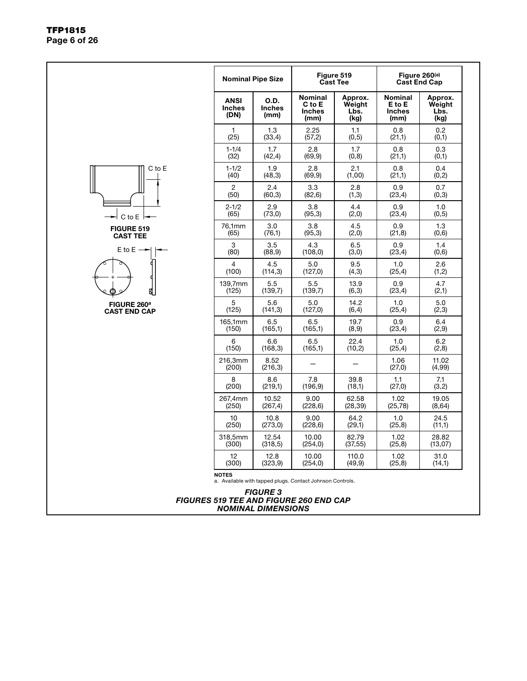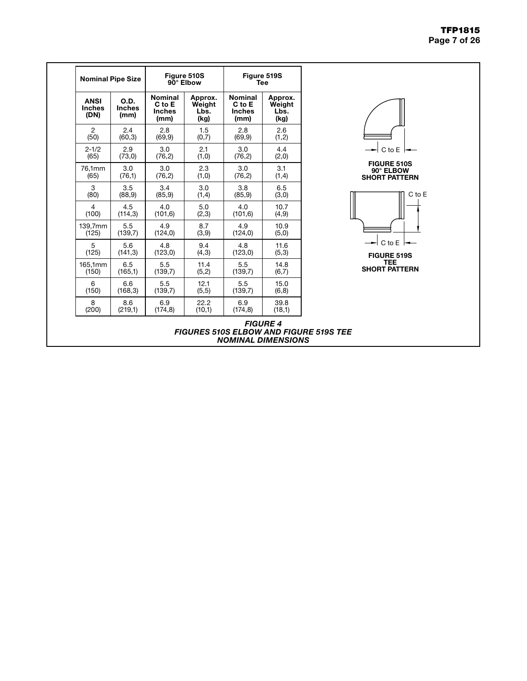#### TFP1815 Page 7 of 26

| <b>Nominal</b><br>C to E<br><b>Inches</b><br><b>Inches</b><br>(mm)<br>2.8<br>(69, 9)<br>3.0<br>(76, 2)<br>3.0<br>(76, 2)<br>3.4<br>(85, 9)<br>4.0 | Approx.<br>Weight<br>Lbs.<br>(kg)<br>1.5<br>(0,7)<br>2.1<br>(1,0)<br>2.3<br>(1,0)<br>3.0<br>(1,4) | <b>Nominal</b><br>C to E<br><b>Inches</b><br>(mm)<br>2.8<br>(69, 9)<br>3.0<br>(76, 2)<br>3.0<br>(76, 2)<br>3.8<br>(85, 9) | Approx.<br>Weight<br>Lbs.<br>(kg)<br>2.6<br>(1, 2)<br>4.4<br>(2,0)<br>3.1<br>(1,4)<br>6.5<br>(3,0) |
|---------------------------------------------------------------------------------------------------------------------------------------------------|---------------------------------------------------------------------------------------------------|---------------------------------------------------------------------------------------------------------------------------|----------------------------------------------------------------------------------------------------|
|                                                                                                                                                   |                                                                                                   |                                                                                                                           |                                                                                                    |
|                                                                                                                                                   |                                                                                                   |                                                                                                                           |                                                                                                    |
|                                                                                                                                                   |                                                                                                   |                                                                                                                           |                                                                                                    |
|                                                                                                                                                   |                                                                                                   |                                                                                                                           |                                                                                                    |
|                                                                                                                                                   |                                                                                                   |                                                                                                                           |                                                                                                    |
| (114,3)<br>(101, 6)                                                                                                                               | 5.0<br>(2,3)                                                                                      | 4.0<br>(101, 6)                                                                                                           | 10.7<br>(4, 9)                                                                                     |
| 4.9<br>(124, 0)                                                                                                                                   | 8.7<br>(3,9)                                                                                      | 4.9<br>(124, 0)                                                                                                           | 10.9<br>(5,0)                                                                                      |
| 4.8<br>(123, 0)                                                                                                                                   | 9.4<br>(4,3)                                                                                      | 4.8<br>(123, 0)                                                                                                           | 11.6<br>(5,3)                                                                                      |
| 5.5<br>(139,7)                                                                                                                                    | 11.4<br>(5,2)                                                                                     | 5.5<br>(139,7)                                                                                                            | 14.8<br>(6,7)                                                                                      |
| 5.5<br>(139,7)                                                                                                                                    | 12.1<br>(5,5)                                                                                     | 5.5<br>(139,7)                                                                                                            | 15.0<br>(6, 8)                                                                                     |
| 6.9<br>(174, 8)                                                                                                                                   | 22.2<br>(10,1)                                                                                    | 6.9<br>(174, 8)                                                                                                           | 39.8<br>(18,1)                                                                                     |
|                                                                                                                                                   | (139,7)<br>(141, 3)<br>(165,1)<br>(168, 3)<br>(219,1)                                             |                                                                                                                           | <b>FIGURE 4</b><br><b>FIGURES 510S ELBOW AND FIGURE 519S TEE</b><br><b>NOMINAL DIMENSIONS</b>      |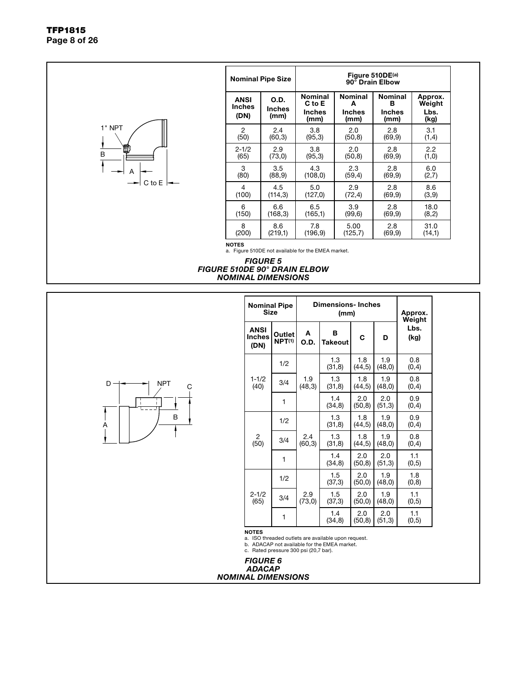

#### *FIGURE 5 FIGURE 510DE 90° DRAIN ELBOW NOMINAL DIMENSIONS*

Weight Lbs. (kg)

> 3.1  $(1,4)$

2.2  $(1,0)$ 

6.0  $(2,7)$ 

8.6 (3,9)

18.0  $(8,2)$ 

31.0  $(14,1)$ 

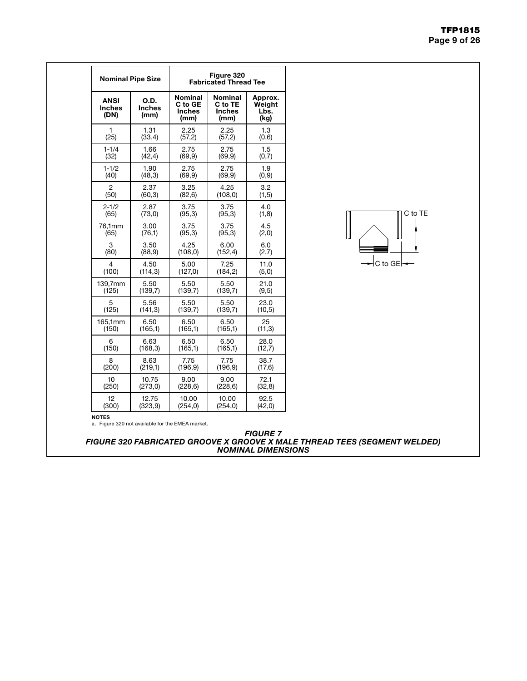#### TFP1815 Page 9 of 26

| <b>Nominal Pipe Size</b>      |                        |                                             | Figure 320<br><b>Fabricated Thread Tee</b>         |                                   |
|-------------------------------|------------------------|---------------------------------------------|----------------------------------------------------|-----------------------------------|
| <b>ANSI</b><br>Inches<br>(DN) | O.D.<br>Inches<br>(mm) | Nominal<br>C to GE<br><b>Inches</b><br>(mm) | <b>Nominal</b><br>C to TE<br><b>Inches</b><br>(mm) | Approx.<br>Weight<br>Lbs.<br>(kg) |
| 1                             | 1.31                   | 2.25                                        | 2.25                                               | 1.3                               |
| (25)                          | (33,4)                 | (57,2)                                      | (57,2)                                             | (0,6)                             |
| $1 - 1/4$                     | 1.66                   | 2.75                                        | 2.75                                               | 1.5                               |
| (32)                          | (42, 4)                | (69, 9)                                     | (69, 9)                                            | (0,7)                             |
| $1 - 1/2$                     | 1.90                   | 2.75                                        | 2.75                                               | 1.9                               |
| (40)                          | (48, 3)                | (69, 9)                                     | (69, 9)                                            | (0,9)                             |
| $\overline{2}$                | 2.37                   | 3.25                                        | 4.25                                               | 3.2                               |
| (50)                          | (60, 3)                | (82, 6)                                     | (108, 0)                                           | (1,5)                             |
| $2 - 1/2$                     | 2.87                   | 3.75                                        | 3.75                                               | 4.0                               |
| (65)                          | (73,0)                 | (95,3)                                      | (95,3)                                             | (1,8)                             |
| 76,1mm                        | 3.00                   | 3.75                                        | 3.75                                               | 4.5                               |
| (65)                          | (76,1)                 | (95,3)                                      | (95,3)                                             | (2,0)                             |
| 3                             | 3.50                   | 4.25                                        | 6.00                                               | 6.0                               |
| (80)                          | (88, 9)                | (108, 0)                                    | (152, 4)                                           | (2,7)                             |
| 4                             | 4.50                   | 5.00                                        | 7.25                                               | 11.0                              |
| (100)                         | (114, 3)               | (127,0)                                     | (184, 2)                                           | (5,0)                             |
| 139,7mm                       | 5.50                   | 5.50                                        | 5.50                                               | 21.0                              |
| (125)                         | (139,7)                | (139,7)                                     | (139,7)                                            | (9,5)                             |
| 5                             | 5.56                   | 5.50                                        | 5.50                                               | 23.0                              |
| (125)                         | (141, 3)               | (139,7)                                     | (139,7)                                            | (10, 5)                           |
| 165,1mm                       | 6.50                   | 6.50                                        | 6.50                                               | 25                                |
| (150)                         | (165,1)                | (165,1)                                     | (165,1)                                            | (11,3)                            |
| 6                             | 6.63                   | 6.50                                        | 6.50                                               | 28.0                              |
| (150)                         | (168, 3)               | (165,1)                                     | (165,1)                                            | (12,7)                            |
| 8                             | 8.63                   | 7.75                                        | 7.75                                               | 38.7                              |
| (200)                         | (219,1)                | (196.9)                                     | (196.9)                                            | (17,6)                            |
| 10                            | 10.75                  | 9.00                                        | 9.00                                               | 72.1                              |
| (250)                         | (273, 0)               | (228, 6)                                    | (228, 6)                                           | (32,8)                            |
| 12                            | 12.75                  | 10.00                                       | 10.00                                              | 92.5                              |
| (300)                         | (323, 9)               | (254, 0)                                    | (254, 0)                                           | (42,0)                            |

 $\Box$  C to TE

NOTES a. Figure 320 not available for the EMEA market.

*FIGURE 7 FIGURE 320 FABRICATED GROOVE X GROOVE X MALE THREAD TEES (SEGMENT WELDED) NOMINAL DIMENSIONS*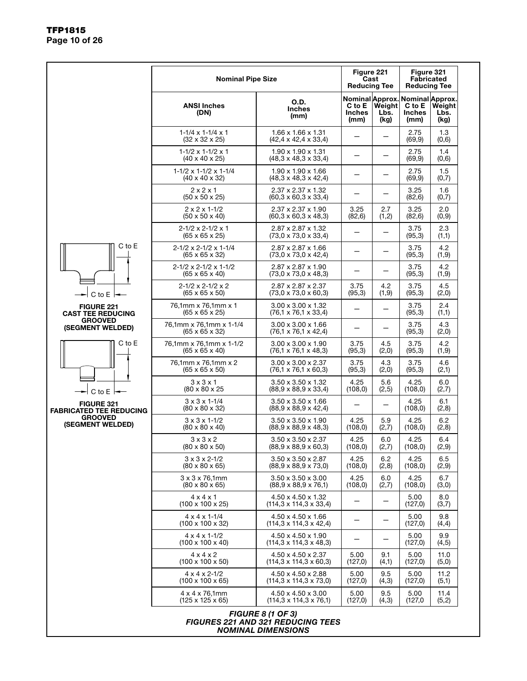|                                                     | <b>Nominal Pipe Size</b>                                              |                                                                                                   |                                 | Figure 221<br>Cast<br><b>Reducing Tee</b> | Figure 321                                                         | <b>Fabricated</b><br><b>Reducing Tee</b>                 |
|-----------------------------------------------------|-----------------------------------------------------------------------|---------------------------------------------------------------------------------------------------|---------------------------------|-------------------------------------------|--------------------------------------------------------------------|----------------------------------------------------------|
|                                                     | <b>ANSI Inches</b><br>(DN)                                            | O.D.<br><b>Inches</b><br>(mm)                                                                     | C to E<br><b>Inches</b><br>(mm) | Weight<br>Lbs.<br>(kg)                    | Nominal Approx. Nominal Approx.<br>C to E<br><b>Inches</b><br>(mm) | Weight<br>Lbs.<br>(kg)                                   |
|                                                     | $1 - 1/4 \times 1 - 1/4 \times 1$<br>$(32 \times 32 \times 25)$       | $1.66 \times 1.66 \times 1.31$<br>$(42, 4 \times 42, 4 \times 33, 4)$                             |                                 |                                           | 2.75<br>(69, 9)                                                    | 1.3<br>(0,6)                                             |
|                                                     | $1-1/2 \times 1-1/2 \times 1$<br>$(40 \times 40 \times 25)$           | $1.90 \times 1.90 \times 1.31$<br>(48,3 x 48,3 x 33,4)                                            |                                 |                                           | 2.75<br>(69, 9)                                                    | 1.4<br>(0,6)                                             |
|                                                     | $1-1/2 \times 1-1/2 \times 1-1/4$<br>$(40 \times 40 \times 32)$       | $1.90 \times 1.90 \times 1.66$<br>$(48,3 \times 48,3 \times 42,4)$                                |                                 |                                           | 2.75<br>(69, 9)                                                    | 1.5<br>(0,7)                                             |
|                                                     | 2x2x1<br>$(50 \times 50 \times 25)$                                   | $2.37 \times 2.37 \times 1.32$<br>$(60.3 \times 60.3 \times 33.4)$                                |                                 |                                           | 3.25<br>(82, 6)                                                    | 1.6<br>(0,7)                                             |
|                                                     | $2 \times 2 \times 1 - 1/2$<br>$(50 \times 50 \times 40)$             | $2.37 \times 2.37 \times 1.90$<br>$(60, 3 \times 60, 3 \times 48, 3)$                             | 3.25<br>(82, 6)                 | 2.7<br>(1,2)                              | 3.25<br>(82, 6)                                                    | 2.0<br>(0,9)                                             |
|                                                     | $2 - 1/2 \times 2 - 1/2 \times 1$<br>$(65 \times 65 \times 25)$       | 2.87 x 2.87 x 1.32<br>(73,0 x 73,0 x 33,4)                                                        |                                 |                                           | 3.75<br>(95,3)                                                     | 2.3<br>(1,1)                                             |
| $C$ to $E$                                          | $2 - 1/2 \times 2 - 1/2 \times 1 - 1/4$<br>$(65 \times 65 \times 32)$ | $2.87 \times 2.87 \times 1.66$<br>$(73,0 \times 73,0 \times 42,4)$                                |                                 |                                           | 3.75<br>(95,3)                                                     | 4.2<br>(1, 9)                                            |
|                                                     | $2 - 1/2 \times 2 - 1/2 \times 1 - 1/2$<br>$(65 \times 65 \times 40)$ | $2.87 \times 2.87 \times 1.90$<br>$(73.0 \times 73.0 \times 48.3)$                                |                                 |                                           | 3.75<br>(95,3)                                                     | 4.2<br>(1,9)                                             |
| $C$ to $E$                                          | $2 - 1/2 \times 2 - 1/2 \times 2$<br>$(65 \times 65 \times 50)$       | $2.87 \times 2.87 \times 2.37$<br>$(73,0 \times 73,0 \times 60,3)$                                | 3.75<br>(95,3)                  | 4.2<br>(1,9)                              | 3.75<br>(95,3)                                                     | 4.5<br>(2,0)                                             |
| <b>FIGURE 221</b><br><b>CAST TEE REDUCING</b>       | 76,1mm x 76,1mm x 1<br>$(65 \times 65 \times 25)$                     | $3.00 \times 3.00 \times 1.32$<br>$(76, 1 \times 76, 1 \times 33, 4)$                             |                                 |                                           | 3.75<br>(95,3)                                                     | 2.4<br>(1,1)                                             |
| <b>GROOVED</b><br>(SEGMENT WELDED)                  | 76,1mm x 76,1mm x 1-1/4<br>$(65 \times 65 \times 32)$                 | $3.00 \times 3.00 \times 1.66$<br>(76,1 x 76,1 x 42,4)                                            |                                 |                                           | 3.75<br>(95,3)                                                     | 4.3<br>(2,0)<br>4.2                                      |
| C to E                                              | 76,1mm x 76,1mm x 1-1/2<br>$(65 \times 65 \times 40)$                 | $3.00 \times 3.00 \times 1.90$<br>$(76.1 \times 76.1 \times 48.3)$                                | 3.75<br>(95,3)                  | 4.5<br>(2,0)                              | 3.75<br>(95,3)                                                     | (1,9)                                                    |
|                                                     | 76,1mm x 76,1mm x 2<br>$(65 \times 65 \times 50)$                     | 3.00 x 3.00 x 2.37<br>$(76.1 \times 76.1 \times 60.3)$                                            | 3.75<br>(95,3)                  | 4.3<br>(2,0)                              | 3.75<br>(95,3)                                                     | 4.6<br>(2,1)                                             |
| C to $E$ $\rightarrow$                              | $3 \times 3 \times 1$<br>(80 x 80 x 25                                | 3.50 x 3.50 x 1.32<br>$(88,9 \times 88,9 \times 33,4)$                                            | 4.25<br>(108, 0)                | 5.6<br>(2,5)                              | 4.25<br>(108, 0)                                                   | 6.0<br>(2,7)                                             |
| <b>FIGURE 321</b><br><b>FABRICATED TEE REDUCING</b> | $3 \times 3 \times 1 - 1/4$<br>$(80 \times 80 \times 32)$             | $3.50 \times 3.50 \times 1.66$<br>$(88.9 \times 88.9 \times 42.4)$                                |                                 |                                           | 4.25<br>(108, 0)                                                   | 6.1<br>(2,8)                                             |
| <b>GROOVED</b><br>(SEGMENT WELDED)                  | $3 \times 3 \times 1 - 1/2$<br>$(80 \times 80 \times 40)$             | $3.50 \times 3.50 \times 1.90$<br>$(88,9 \times 88,9 \times 48,3)$                                | 4.25<br>(108, 0)                | 5.9<br>(2,7)                              | 4.25<br>(108, 0)                                                   | 6.2<br>(2,8)                                             |
|                                                     | $3 \times 3 \times 2$<br>$(80 \times 80 \times 50)$                   | $3.50 \times 3.50 \times 2.37$<br>$(88, 9 \times 88, 9 \times 60, 3)$                             | 4.25<br>(108, 0)                | 6.0<br>(2,7)                              | 4.25<br>(108, 0)                                                   | 6.4                                                      |
|                                                     | $3 \times 3 \times 2 - 1/2$<br>$(80 \times 80 \times 65)$             | $3.50 \times 3.50 \times 2.87$<br>$(88,9 \times 88,9 \times 73,0)$                                | 4.25<br>(108, 0)                | 6.2<br>(2,8)                              | 4.25<br>(108, 0)                                                   | 6.5<br>(2,9)                                             |
|                                                     | $3 \times 3 \times 76,1$ mm<br>$(80 \times 80 \times 65)$             | $3.50 \times 3.50 \times 3.00$<br>$(88,9 \times 88,9 \times 76,1)$                                | 4.25<br>(108, 0)                | 6.0<br>(2,7)                              | 4.25<br>(108, 0)                                                   | 6.7<br>(3,0)                                             |
|                                                     | $4 \times 4 \times 1$<br>$(100 \times 100 \times 25)$                 | $4.50 \times 4.50 \times 1.32$<br>$(114, 3 \times 114, 3 \times 33, 4)$                           |                                 |                                           | 5.00<br>(127,0)                                                    | 8.0<br>(3,7)                                             |
|                                                     | $4 \times 4 \times 1 - 1/4$<br>$(100 \times 100 \times 32)$           | $4.50 \times 4.50 \times 1.66$<br>$(114.3 \times 114.3 \times 42.4)$                              |                                 |                                           | 5.00<br>(127,0)                                                    | 9.8<br>(4,4)                                             |
|                                                     | $4 \times 4 \times 1 - 1/2$<br>$(100 \times 100 \times 40)$           | 4.50 x 4.50 x 1.90<br>$(114,3 \times 114,3 \times 48,3)$                                          |                                 |                                           | 5.00<br>(127,0)                                                    | 9.9<br>(4,5)                                             |
|                                                     | $4 \times 4 \times 2$<br>$(100 \times 100 \times 50)$                 | $4.50 \times 4.50 \times 2.37$<br>$(114.3 \times 114.3 \times 60.3)$                              | 5.00<br>(127,0)                 | 9.1<br>(4,1)                              | 5.00<br>(127,0)                                                    | (2,9)<br>11.0<br>(5,0)<br>11.2<br>(5,1)<br>11.4<br>(5,2) |
|                                                     | $4 \times 4 \times 2 - 1/2$<br>$(100 \times 100 \times 65)$           | 4.50 x 4.50 x 2.88<br>$(114,3 \times 114,3 \times 73,0)$                                          | 5.00<br>(127,0)                 | 9.5<br>(4,3)                              | 5.00<br>(127,0)                                                    |                                                          |
|                                                     | 4 x 4 x 76,1mm<br>$(125 \times 125 \times 65)$                        | $4.50 \times 4.50 \times 3.00$<br>$(114,3 \times 114,3 \times 76,1)$                              | 5.00<br>(127,0)                 | 9.5<br>(4, 3)                             | 5.00<br>(127,0)                                                    |                                                          |
|                                                     |                                                                       | <b>FIGURE 8 (1 OF 3)</b><br><b>FIGURES 221 AND 321 REDUCING TEES</b><br><b>NOMINAL DIMENSIONS</b> |                                 |                                           |                                                                    |                                                          |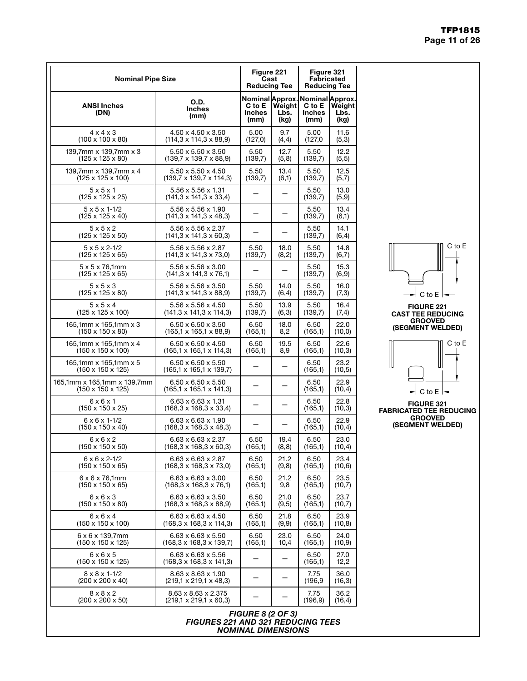| <b>Nominal Pipe Size</b>                                     |                                                                          | Figure 221<br>Cast<br><b>Reducing Tee</b>          |                        | Figure 321<br><b>Fabricated</b><br><b>Reducing Tee</b> |                        |
|--------------------------------------------------------------|--------------------------------------------------------------------------|----------------------------------------------------|------------------------|--------------------------------------------------------|------------------------|
| <b>ANSI Inches</b><br>(DN)                                   | <b>O.D.</b><br><b>Inches</b><br>(mm)                                     | Nominal Approx.<br>C to E<br><b>Inches</b><br>(mm) | Weight<br>Lbs.<br>(kg) | Nominal Approx.<br>C to E<br>Inches<br>(mm)            | Weight<br>Lbs.<br>(kg) |
| $4 \times 4 \times 3$                                        | 4.50 x 4.50 x 3.50                                                       | 5.00                                               | 9.7                    | 5.00                                                   | 11.6                   |
| $(100 \times 100 \times 80)$                                 | $(114,3 \times 114,3 \times 88,9)$                                       | (127,0)                                            | (4,4)                  | (127,0)                                                | (5,3)                  |
| 139,7mm x 139,7mm x 3                                        | $5.50 \times 5.50 \times 3.50$                                           | 5.50                                               | 12.7                   | 5.50                                                   | 12.2                   |
| $(125 \times 125 \times 80)$                                 | $(139.7 \times 139.7 \times 88.9)$                                       | (139,7)                                            | (5,8)                  | (139,7)                                                | (5, 5)                 |
| 139,7mm x 139,7mm x 4                                        | 5.50 x 5.50 x 4.50                                                       | 5.50                                               | 13.4                   | 5.50                                                   | 12.5                   |
| (125 x 125 x 100)                                            | $(139.7 \times 139.7 \times 114.3)$                                      | (139,7)                                            | (6,1)                  | (139,7)                                                | (5,7)                  |
| 5x5x1<br>$(125 \times 125 \times 25)$                        | $5.56 \times 5.56 \times 1.31$<br>$(141, 3 \times 141, 3 \times 33, 4)$  |                                                    |                        | 5.50<br>(139,7)                                        | 13.0<br>(5,9)          |
| $5 \times 5 \times 1 - 1/2$<br>$(125 \times 125 \times 40)$  | 5.56 x 5.56 x 1.90<br>$(141,3 \times 141,3 \times 48,3)$                 |                                                    |                        | 5.50<br>(139,7)                                        | 13.4<br>(6,1)          |
| 5x5x2<br>$(125 \times 125 \times 50)$                        | 5.56 x 5.56 x 2.37<br>$(141, 3 \times 141, 3 \times 60, 3)$              |                                                    |                        | 5.50<br>(139,7)                                        | 14.1<br>(6, 4)         |
| $5 \times 5 \times 2 - 1/2$                                  | 5.56 x 5.56 x 2.87                                                       | 5.50                                               | 18.0                   | 5.50                                                   | 14.8                   |
| (125 x 125 x 65)                                             | $(141, 3 \times 141, 3 \times 73, 0)$                                    | (139,7)                                            | (8,2)                  | (139,7)                                                | (6,7)                  |
| $5 \times 5 \times 76,1$ mm<br>(125 x 125 x 65)              | $5.56 \times 5.56 \times 3.00$<br>$(141, 3 \times 141, 3 \times 76, 1)$  |                                                    |                        | 5.50<br>(139,7)                                        | 15.3<br>(6, 9)         |
| 5x5x3                                                        | 5.56 x 5.56 x 3.50                                                       | 5.50                                               | 14.0                   | 5.50                                                   | 16.0                   |
| $(125 \times 125 \times 80)$                                 | $(141, 3 \times 141, 3 \times 88, 9)$                                    | (139,7)                                            | (6, 4)                 | (139,7)                                                | (7,3)                  |
| 5x5x4                                                        | $5.56 \times 5.56 \times 4.50$                                           | 5.50                                               | 13.9                   | 5.50                                                   | 16.4                   |
| (125 x 125 x 100)                                            | $(141, 3 \times 141, 3 \times 114, 3)$                                   | (139,7)                                            | (6,3)                  | (139,7)                                                | (7,4)                  |
| 165,1mm x 165,1mm x 3                                        | $6.50 \times 6.50 \times 3.50$                                           | 6.50                                               | 18.0                   | 6.50                                                   | 22.0                   |
| $(150 \times 150 \times 80)$                                 | $(165, 1 \times 165, 1 \times 88, 9)$                                    | (165,1)                                            | 8,2                    | (165,1)                                                | (10, 0)                |
| 165,1mm x 165,1mm x 4                                        | $6.50 \times 6.50 \times 4.50$                                           | 6.50                                               | 19.5                   | 6.50                                                   | 22.6                   |
| (150 x 150 x 100)                                            | $(165, 1 \times 165, 1 \times 114, 3)$                                   | (165,1)                                            | 8,9                    | (165,1)                                                | (10,3)                 |
| 165,1mm x 165,1mm x 5<br>(150 x 150 x 125)                   | $6.50 \times 6.50 \times 5.50$<br>$(165, 1 \times 165, 1 \times 139, 7)$ |                                                    |                        | 6.50<br>(165,1)                                        | 23.2<br>(10, 5)        |
| 165,1mm x 165,1mm x 139,7mm<br>$(150 \times 150 \times 125)$ | $6.50 \times 6.50 \times 5.50$<br>$(165, 1 \times 165, 1 \times 141, 3)$ |                                                    |                        | 6.50<br>(165,1)                                        | 22.9<br>(10, 4)        |
| 6x6x1<br>$(150 \times 150 \times 25)$                        | $6.63 \times 6.63 \times 1.31$<br>$(168.3 \times 168.3 \times 33.4)$     |                                                    |                        | 6.50<br>(165,1)                                        | 22.8<br>(10,3)         |
| $6 \times 6 \times 1 - 1/2$<br>(150 x 150 x 40)              | $6.63 \times 6.63 \times 1.90$<br>$(168, 3 \times 168, 3 \times 48, 3)$  |                                                    |                        | 6.50<br>(165,1)                                        | 22.9<br>(10,4)         |
| $6 \times 6 \times 2$                                        | $6.63 \times 6.63 \times 2.37$                                           | 6.50                                               | 19.4                   | 6.50                                                   | 23.0                   |
| $(150 \times 150 \times 50)$                                 | $(168, 3 \times 168, 3 \times 60, 3)$                                    | (165,1)                                            | (8, 8)                 | (165,1)                                                | (10, 4)                |
| $6 \times 6 \times 2 - 1/2$                                  | 6.63 x 6.63 x 2.87                                                       | 6.50                                               | 21.2                   | 6.50                                                   | 23.4                   |
| $(150 \times 150 \times 65)$                                 | $(168, 3 \times 168, 3 \times 73, 0)$                                    | (165,1)                                            | (9,8)                  | (165,1)                                                | (10,6)                 |
| $6 \times 6 \times 76,1$ mm                                  | $6.63 \times 6.63 \times 3.00$                                           | 6.50                                               | 21.2                   | 6.50                                                   | 23.5                   |
| $(150 \times 150 \times 65)$                                 | $(168, 3 \times 168, 3 \times 76, 1)$                                    | (165,1)                                            | 9,8                    | (165,1)                                                | (10,7)                 |
| $6 \times 6 \times 3$                                        | $6.63 \times 6.63 \times 3.50$                                           | 6.50                                               | 21.0                   | 6.50                                                   | 23.7                   |
| $(150 \times 150 \times 80)$                                 | $(168, 3 \times 168, 3 \times 88, 9)$                                    | (165,1)                                            | (9,5)                  | (165,1)                                                | (10,7)                 |
| $6 \times 6 \times 4$                                        | 6.63 x 6.63 x 4.50                                                       | 6.50                                               | 21.8                   | 6.50                                                   | 23.9                   |
| (150 x 150 x 100)                                            | $(168, 3 \times 168, 3 \times 114, 3)$                                   | (165,1)                                            | (9,9)                  | (165,1)                                                | (10, 8)                |
| 6 x 6 x 139,7mm                                              | 6.63 x 6.63 x 5.50                                                       | 6.50                                               | 23.0                   | 6.50                                                   | 24.0                   |
| $(150 \times 150 \times 125)$                                | $(168, 3 \times 168, 3 \times 139, 7)$                                   | (165,1)                                            | 10,4                   | (165,1)                                                | (10, 9)                |
| $6 \times 6 \times 5$<br>$(150 \times 150 \times 125)$       | 6.63 x 6.63 x 5.56<br>$(168, 3 \times 168, 3 \times 141, 3)$             |                                                    |                        | 6.50<br>(165,1)                                        | 27.0<br>12,2           |
| $8 \times 8 \times 1 - 1/2$<br>(200 x 200 x 40)              | 8.63 x 8.63 x 1.90<br>$(219, 1 \times 219, 1 \times 48, 3)$              | —                                                  |                        | 7.75<br>(196,9                                         | 36.0<br>(16,3)         |
| $8 \times 8 \times 2$<br>$(200 \times 200 \times 50)$        | 8.63 x 8.63 x 2.375<br>$(219, 1 \times 219, 1 \times 60, 3)$             |                                                    |                        | 7.75<br>(196, 9)                                       | 36.2<br>(16, 4)        |







FIGURE 321 FABRICATED TEE REDUCING GROOVED (SEGMENT WELDED)

*FIGURE 8 (2 OF 3) FIGURES 221 AND 321 REDUCING TEES NOMINAL DIMENSIONS*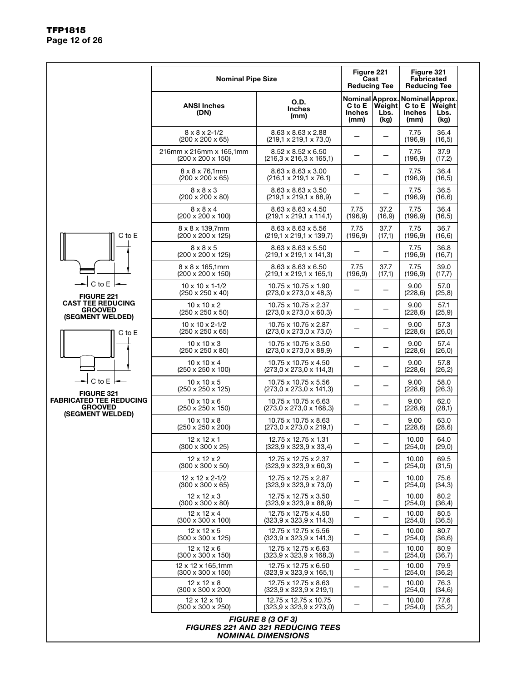|                                                  | <b>Nominal Pipe Size</b>                                                 |                                                                                      | Figure 221<br>Cast<br><b>Reducing Tee</b> |                        | Figure 321                      |                                                                                                                                                                                                                                                   |
|--------------------------------------------------|--------------------------------------------------------------------------|--------------------------------------------------------------------------------------|-------------------------------------------|------------------------|---------------------------------|---------------------------------------------------------------------------------------------------------------------------------------------------------------------------------------------------------------------------------------------------|
|                                                  | <b>ANSI Inches</b><br>(DN)                                               | O.D.<br><b>Inches</b><br>(mm)                                                        | C to E<br><b>Inches</b><br>(mm)           | Weight<br>Lbs.<br>(kg) | C to E<br><b>Inches</b><br>(mm) | Weight<br>Lbs.<br>(kg)                                                                                                                                                                                                                            |
|                                                  | $8 \times 8 \times 2 - 1/2$<br>$(200 \times 200 \times 65)$              | $8.63 \times 8.63 \times 2.88$<br>$(219.1 \times 219.1 \times 73.0)$                 |                                           |                        | 7.75<br>(196, 9)                | 36.4<br>(16, 5)                                                                                                                                                                                                                                   |
|                                                  | 216mm x 216mm x 165,1mm<br>$(200 \times 200 \times 150)$                 | $8.52 \times 8.52 \times 6.50$<br>$(216.3 \times 216.3 \times 165.1)$                |                                           |                        | 7.75<br>(196, 9)                | 37.9<br>(17,2)                                                                                                                                                                                                                                    |
|                                                  | $8 \times 8 \times 76,1$ mm<br>$(200 \times 200 \times 65)$              | $8.63 \times 8.63 \times 3.00$<br>$(216, 1 \times 219, 1 \times 76.1)$               |                                           |                        | 7.75<br>(196, 9)                | 36.4<br>(16, 5)                                                                                                                                                                                                                                   |
|                                                  | $8 \times 8 \times 3$<br>$(200 \times 200 \times 80)$                    | $8.63 \times 8.63 \times 3.50$<br>$(219,1 \times 219,1 \times 88,9)$                 |                                           |                        | 7.75<br>(196, 9)                | 36.5<br>(16, 6)                                                                                                                                                                                                                                   |
|                                                  | $8 \times 8 \times 4$<br>$(200 \times 200 \times 100)$                   | $8.63 \times 8.63 \times 4.50$<br>$(219,1 \times 219,1 \times 114,1)$                | 7.75<br>(196, 9)                          | 37.2<br>(16, 9)        | 7.75<br>(196, 9)                | 36.4<br>(16, 5)                                                                                                                                                                                                                                   |
| C to E                                           | $8 \times 8 \times 139,7$ mm<br>$(200 \times 200 \times 125)$            | $8.63 \times 8.63 \times 5.56$<br>$(219, 1 \times 219, 1 \times 139, 7)$             | 7.75<br>(196, 9)                          | 37.7<br>(17,1)         | 7.75<br>(196, 9)                | 36.7<br>(16, 6)                                                                                                                                                                                                                                   |
|                                                  | $8 \times 8 \times 5$<br>$(200 \times 200 \times 125)$                   | $8.63 \times 8.63 \times 5.50$<br>$(219, 1 \times 219, 1 \times 141, 3)$             |                                           |                        | 7.75<br>(196, 9)                | 36.8<br>(16,7)                                                                                                                                                                                                                                    |
|                                                  | 8 x 8 x 165.1mm<br>$(200 \times 200 \times 150)$                         | $8.63 \times 8.63 \times 6.50$<br>$(219, 1 \times 219, 1 \times 165, 1)$             | 7.75<br>(196.9)                           | 37.7<br>(17,1)         | 7.75<br>(196, 9)                | 39.0<br>(17,7)                                                                                                                                                                                                                                    |
| $C$ to $E$ $\vdash$<br><b>FIGURE 221</b>         | $10 \times 10 \times 1 - 1/2$<br>$(250 \times 250 \times 40)$            | 10.75 x 10.75 x 1.90<br>$(273,0 \times 273,0 \times 48,3)$                           |                                           |                        | 9.00<br>(228, 6)                | 57.0<br>(25, 8)                                                                                                                                                                                                                                   |
| <b>CAST TEE REDUCING</b><br><b>GROOVED</b>       | $10 \times 10 \times 2$<br>$(250 \times 250 \times 50)$                  | 10.75 x 10.75 x 2.37<br>$(273.0 \times 273.0 \times 60.3)$                           |                                           |                        | 9.00<br>(228, 6)                | 57.1<br>(25, 9)                                                                                                                                                                                                                                   |
| (SEGMENT WELDED)<br>C to E                       | $10 \times 10 \times 2 - 1/2$<br>$(250 \times 250 \times 65)$            | 10.75 x 10.75 x 2.87<br>$(273,0 \times 273,0 \times 73,0)$                           |                                           |                        | 9.00<br>(228, 6)                | 57.3<br>(26, 0)                                                                                                                                                                                                                                   |
|                                                  | $10 \times 10 \times 3$<br>$(250 \times 250 \times 80)$                  | 10.75 x 10.75 x 3.50<br>$(273.0 \times 273.0 \times 88.9)$                           |                                           |                        | 9.00<br>(228, 6)                | 57.4<br>(26, 0)                                                                                                                                                                                                                                   |
|                                                  | $10 \times 10 \times 4$<br>$(250 \times 250 \times 100)$                 | 10.75 x 10.75 x 4.50<br>$(273,0 \times 273,0 \times 114,3)$                          |                                           |                        | 9.00<br>(228, 6)                | 57.8<br>(26, 2)                                                                                                                                                                                                                                   |
| C to $E \models$<br><b>FIGURE 321</b>            | $10 \times 10 \times 5$<br>$(250 \times 250 \times 125)$                 | 10.75 x 10.75 x 5.56<br>$(273,0 \times 273,0 \times 141,3)$                          |                                           |                        | 9.00<br>(228, 6)                | 58.0<br>(26,3)                                                                                                                                                                                                                                    |
| <b>FABRICATED TEE REDUCING</b><br><b>GROOVED</b> | $10 \times 10 \times 6$<br>(250 x 250 x 150)                             | 10.75 x 10.75 x 6.63<br>$(273,0 \times 273,0 \times 168,3)$                          |                                           |                        | 9.00<br>(228, 6)                | 62.0<br>(28,1)                                                                                                                                                                                                                                    |
| (SEGMENT WELDED)                                 | $10 \times 10 \times 8$<br>$(250 \times 250 \times 200)$                 | 10.75 x 10.75 x 8.63<br>$(273,0 \times 273,0 \times 219,1)$                          |                                           |                        | 9.00<br>(228, 6)                | 63.0<br>(28, 6)                                                                                                                                                                                                                                   |
|                                                  | $12 \times 12 \times 1$<br>(300 x 300 x 25)                              | 12.75 x 12.75 x 1.31<br>(323,9 x 323,9 x 33,4)                                       |                                           |                        | 10.00<br>(254, 0)               | 64.0<br>(29, 0)                                                                                                                                                                                                                                   |
|                                                  | $12 \times 12 \times 2$<br>$(300 \times 300 \times 50)$                  | 12.75 x 12.75 x 2.37<br>$(323.9 \times 323.9 \times 60.3)$                           |                                           |                        | 10.00<br>(254, 0)               | <b>Fabricated</b><br><b>Reducing Tee</b><br>Nominal Approx. Nominal Approx.<br>69.5<br>(31,5)<br>75.6<br>(34,3)<br>80.2<br>(36, 4)<br>80.5<br>(36, 5)<br>80.7<br>(36, 6)<br>80.9<br>(36,7)<br>79.9<br>(36,2)<br>76.3<br>(34, 6)<br>77.6<br>(35,2) |
|                                                  | 12 x 12 x 2-1/2<br>$(300 \times 300 \times 65)$                          | 12.75 x 12.75 x 2.87<br>$(323.9 \times 323.9 \times 73.0)$                           | —                                         |                        | 10.00<br>(254, 0)               |                                                                                                                                                                                                                                                   |
|                                                  | $12 \times 12 \times 3$<br>$(300 \times 300 \times 80)$                  | 12.75 x 12.75 x 3.50<br>$(323, 9 \times 323, 9 \times 88, 9)$                        | -                                         |                        | 10.00<br>(254, 0)               |                                                                                                                                                                                                                                                   |
|                                                  | $12 \times 12 \times 4$<br>$(300 \times 300 \times 100)$                 | 12.75 x 12.75 x 4.50<br>$(323.9 \times 323.9 \times 114.3)$                          | $\qquad \qquad -$                         |                        | 10.00<br>(254, 0)               |                                                                                                                                                                                                                                                   |
|                                                  | $12 \times 12 \times 5$<br>(300 x 300 x 125)                             | 12.75 x 12.75 x 5.56<br>$(323.9 \times 323.9 \times 141.3)$                          |                                           |                        | 10.00<br>(254, 0)               |                                                                                                                                                                                                                                                   |
|                                                  | $12 \times 12 \times 6$<br>(300 x 300 x 150)                             | 12.75 x 12.75 x 6.63<br>$(323.9 \times 323.9 \times 168.3)$                          | -                                         |                        | 10.00<br>(254, 0)               |                                                                                                                                                                                                                                                   |
|                                                  | 12 x 12 x 165,1mm<br>$(300 \times 300 \times 150)$                       | 12.75 x 12.75 x 6.50<br>$(323.9 \times 323.9 \times 165.1)$                          |                                           |                        | 10.00<br>(254, 0)               |                                                                                                                                                                                                                                                   |
|                                                  | $12 \times 12 \times 8$<br>$(300 \times 300 \times 200)$<br>12 x 12 x 10 | 12.75 x 12.75 x 8.63<br>$(323.9 \times 323.9 \times 219.1)$<br>12.75 x 12.75 x 10.75 | -                                         |                        | 10.00<br>(254, 0)<br>10.00      |                                                                                                                                                                                                                                                   |
|                                                  | (300 x 300 x 250)                                                        | $(323.9 \times 323.9 \times 273.0)$                                                  |                                           |                        | (254, 0)                        |                                                                                                                                                                                                                                                   |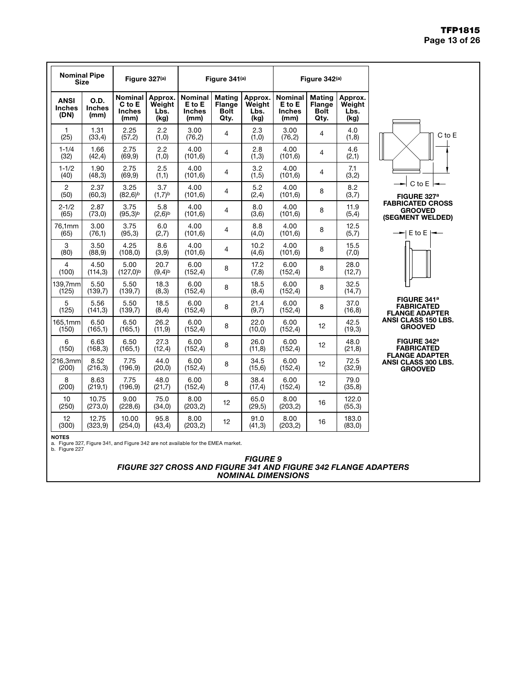#### TFP1815 Page 13 of 26

| <b>Nominal Pipe</b><br><b>Size</b>   |                               | Figure 327(a)<br>Figure 341(a)                        |                                   |                                                   |                                                |                                   | Figure 342(a)                              |                                                |                                   |  |
|--------------------------------------|-------------------------------|-------------------------------------------------------|-----------------------------------|---------------------------------------------------|------------------------------------------------|-----------------------------------|--------------------------------------------|------------------------------------------------|-----------------------------------|--|
| <b>ANSI</b><br><b>Inches</b><br>(DN) | O.D.<br><b>Inches</b><br>(mm) | <b>Nominal</b><br>$C$ to $E$<br><b>Inches</b><br>(mm) | Approx.<br>Weight<br>Lbs.<br>(kg) | <b>Nominal</b><br>E to E<br><b>Inches</b><br>(mm) | <b>Mating</b><br>Flange<br><b>Bolt</b><br>Qty. | Approx.<br>Weight<br>Lbs.<br>(kg) | Nominal<br>E to E<br><b>Inches</b><br>(mm) | <b>Mating</b><br>Flange<br><b>Bolt</b><br>Qty. | Approx.<br>Weight<br>Lbs.<br>(kg) |  |
| 1<br>(25)                            | 1.31<br>(33,4)                | 2.25<br>(57,2)                                        | 2.2<br>(1,0)                      | 3.00<br>(76, 2)                                   | 4                                              | 2.3<br>(1,0)                      | 3.00<br>(76, 2)                            | 4                                              | 4.0<br>(1, 8)                     |  |
| $1 - 1/4$<br>(32)                    | 1.66<br>(42, 4)               | 2.75<br>(69, 9)                                       | 2.2<br>(1,0)                      | 4.00<br>(101, 6)                                  | $\overline{4}$                                 | 2.8<br>(1,3)                      | 4.00<br>(101, 6)                           | $\overline{4}$                                 | 4.6<br>(2,1)                      |  |
| $1 - 1/2$<br>(40)                    | 1.90<br>(48, 3)               | 2.75<br>(69, 9)                                       | 2.5<br>(1,1)                      | 4.00<br>(101, 6)                                  | 4                                              | 3.2<br>(1, 5)                     | 4.00<br>(101, 6)                           | 4                                              | 7.1<br>(3,2)                      |  |
| $\mathbf{2}$<br>(50)                 | 2.37<br>(60, 3)               | 3.25<br>(82,6) <sup>b</sup>                           | 3.7<br>$(1,7)$ <sub>b</sub>       | 4.00<br>(101, 6)                                  | 4                                              | 5.2<br>(2,4)                      | 4.00<br>(101, 6)                           | 8                                              | 8.2<br>(3,7)                      |  |
| $2 - 1/2$<br>(65)                    | 2.87<br>(73,0)                | 3.75<br>(95,3) <sup>b</sup>                           | 5.8<br>$(2,6)^{b}$                | 4.00<br>(101, 6)                                  | $\overline{4}$                                 | 8.0<br>(3,6)                      | 4.00<br>(101, 6)                           | 8                                              | 11.9<br>(5, 4)                    |  |
| 76,1mm<br>(65)                       | 3.00<br>(76,1)                | 3.75<br>(95,3)                                        | 6.0<br>(2,7)                      | 4.00<br>(101, 6)                                  | $\overline{4}$                                 | 8.8<br>(4,0)                      | 4.00<br>(101, 6)                           | 8                                              | 12.5<br>(5,7)                     |  |
| 3<br>(80)                            | 3.50<br>(88, 9)               | 4.25<br>(108, 0)                                      | 8.6<br>(3, 9)                     | 4.00<br>(101, 6)                                  | $\overline{4}$                                 | 10.2<br>(4, 6)                    | 4.00<br>(101, 6)                           | 8                                              | 15.5<br>(7,0)                     |  |
| 4<br>(100)                           | 4.50<br>(114, 3)              | 5.00<br>(127,0) <sup>b</sup>                          | 20.7<br>(9,4) <sup>b</sup>        | 6.00<br>(152, 4)                                  | 8                                              | 17.2<br>(7,8)                     | 6.00<br>(152, 4)                           | 8                                              | 28.0<br>(12,7)                    |  |
| 139,7mm<br>(125)                     | 5.50<br>(139,7)               | 5.50<br>(139,7)                                       | 18.3<br>(8,3)                     | 6.00<br>(152, 4)                                  | 8                                              | 18.5<br>(8,4)                     | 6.00<br>(152, 4)                           | 8                                              | 32.5<br>(14,7)                    |  |
| 5<br>(125)                           | 5.56<br>(141, 3)              | 5.50<br>(139,7)                                       | 18.5<br>(8, 4)                    | 6.00<br>(152, 4)                                  | 8                                              | 21.4<br>(9,7)                     | 6.00<br>(152, 4)                           | 8                                              | 37.0<br>(16, 8)                   |  |
| 165.1mm<br>(150)                     | 6.50<br>(165,1)               | 6.50<br>(165,1)                                       | 26.2<br>(11, 9)                   | 6.00<br>(152, 4)                                  | 8                                              | 22.0<br>(10, 0)                   | 6.00<br>(152, 4)                           | 12                                             | 42.5<br>(19,3)                    |  |
| 6<br>(150)                           | 6.63<br>(168, 3)              | 6.50<br>(165,1)                                       | 27.3<br>(12,4)                    | 6.00<br>(152, 4)                                  | 8                                              | 26.0<br>(11, 8)                   | 6.00<br>(152, 4)                           | 12                                             | 48.0<br>(21, 8)                   |  |
| 216,3mm<br>(200)                     | 8.52<br>(216, 3)              | 7.75<br>(196, 9)                                      | 44.0<br>(20, 0)                   | 6.00<br>(152, 4)                                  | 8                                              | 34.5<br>(15, 6)                   | 6.00<br>(152, 4)                           | 12                                             | 72.5<br>(32, 9)                   |  |
| 8<br>(200)                           | 8.63<br>(219,1)               | 7.75<br>(196, 9)                                      | 48.0<br>(21,7)                    | 6.00<br>(152, 4)                                  | 8                                              | 38.4<br>(17, 4)                   | 6.00<br>(152, 4)                           | 12                                             | 79.0<br>(35, 8)                   |  |
| 10<br>(250)                          | 10.75<br>(273,0)              | 9.00<br>(228, 6)                                      | 75.0<br>(34,0)                    | 8.00<br>(203, 2)                                  | 12                                             | 65.0<br>(29,5)                    | 8.00<br>(203, 2)                           | 16                                             | 122.0<br>(55,3)                   |  |
| 12<br>(300)                          | 12.75<br>(323, 9)             | 10.00<br>(254, 0)                                     | 95.8<br>(43, 4)                   | 8.00<br>(203, 2)                                  | 12                                             | 91.0<br>(41,3)                    | 8.00<br>(203, 2)                           | 16                                             | 183.0<br>(83,0)                   |  |



FLANGE ADAPTER ANSI CLASS 150 LBS. GROOVED



NOTES a. Figure 327, Figure 341, and Figure 342 are not available for the EMEA market. b. Figure 227

*FIGURE 9 FIGURE 327 CROSS AND FIGURE 341 AND FIGURE 342 FLANGE ADAPTERS NOMINAL DIMENSIONS*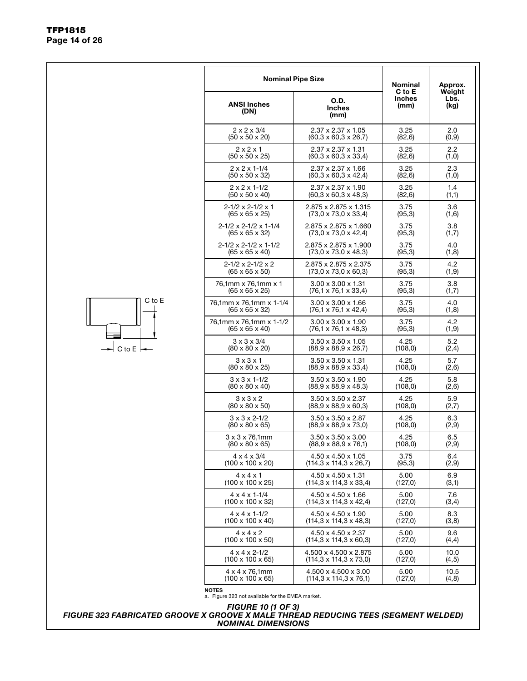|             | <b>Nominal Pipe Size</b>                                              |                                                                       | <b>Nominal</b>                                                                                                                                                                                                                                                                             | Approx.                |
|-------------|-----------------------------------------------------------------------|-----------------------------------------------------------------------|--------------------------------------------------------------------------------------------------------------------------------------------------------------------------------------------------------------------------------------------------------------------------------------------|------------------------|
|             | <b>ANSI Inches</b><br>(DN)                                            | O.D.<br><b>Inches</b><br>(mm)                                         | <b>Inches</b><br>(mm)                                                                                                                                                                                                                                                                      | Weight<br>Lbs.<br>(kg) |
|             | $2 \times 2 \times 3/4$<br>$(50 \times 50 \times 20)$                 | $2.37 \times 2.37 \times 1.05$<br>$(60,3 \times 60,3 \times 26,7)$    | 3.25<br>(82,6)                                                                                                                                                                                                                                                                             | 2.0<br>(0,9)           |
|             | $2 \times 2 \times 1$<br>$(50 \times 50 \times 25)$                   | 2.37 x 2.37 x 1.31<br>$(60,3 \times 60,3 \times 33,4)$                | 3.25<br>(82, 6)                                                                                                                                                                                                                                                                            | 2.2<br>(1,0)           |
|             | $2 \times 2 \times 1 - 1/4$<br>$(50 \times 50 \times 32)$             | $2.37 \times 2.37 \times 1.66$<br>$(60,3 \times 60,3 \times 42,4)$    | 3.25<br>(82, 6)                                                                                                                                                                                                                                                                            | 2.3<br>(1,0)           |
|             | $2 \times 2 \times 1 - 1/2$<br>$(50 \times 50 \times 40)$             | $2.37 \times 2.37 \times 1.90$<br>$(60, 3 \times 60, 3 \times 48, 3)$ | 3.25<br>(82, 6)                                                                                                                                                                                                                                                                            | 1.4<br>(1,1)           |
|             | $2 - 1/2 \times 2 - 1/2 \times 1$<br>$(65 \times 65 \times 25)$       | 2.875 x 2.875 x 1.315<br>$(73,0 \times 73,0 \times 33,4)$             | 3.75<br>(95,3)                                                                                                                                                                                                                                                                             | 3.6<br>(1,6)           |
|             | $2 - 1/2 \times 2 - 1/2 \times 1 - 1/4$<br>$(65 \times 65 \times 32)$ | 2.875 x 2.875 x 1.660<br>$(73,0 \times 73,0 \times 42,4)$             | 3.75<br>(95,3)                                                                                                                                                                                                                                                                             | 3.8<br>(1,7)           |
|             | $2-1/2 \times 2-1/2 \times 1-1/2$<br>$(65 \times 65 \times 40)$       | 2.875 x 2.875 x 1.900<br>$(73,0 \times 73,0 \times 48,3)$             | 3.75<br>(95,3)                                                                                                                                                                                                                                                                             | 4.0<br>(1,8)           |
|             | $2 - 1/2 \times 2 - 1/2 \times 2$<br>$(65 \times 65 \times 50)$       | 2.875 x 2.875 x 2.375<br>$(73,0 \times 73,0 \times 60,3)$             | 3.75<br>(95,3)                                                                                                                                                                                                                                                                             | 4.2<br>(1, 9)          |
|             | 76,1mm x 76,1mm x 1<br>$(65 \times 65 \times 25)$                     | $3.00 \times 3.00 \times 1.31$<br>$(76.1 \times 76.1 \times 33.4)$    | C to E<br>3.75<br>(95,3)<br>3.75<br>(95,3)<br>3.75<br>(95,3)<br>4.25<br>(108, 0)<br>4.25<br>(108, 0)<br>4.25<br>(108, 0)<br>4.25<br>(108, 0)<br>4.25<br>(108, 0)<br>4.25<br>(108, 0)<br>3.75<br>(95,3)<br>5.00<br>(127,0)<br>5.00<br>(127,0)<br>5.00<br>(127,0)<br>5.00<br>(127,0)<br>5.00 | 3.8<br>(1,7)           |
| C to E      | 76.1mm x 76.1mm x 1-1/4<br>$(65 \times 65 \times 32)$                 | $3.00 \times 3.00 \times 1.66$<br>$(76, 1 \times 76, 1 \times 42, 4)$ |                                                                                                                                                                                                                                                                                            | 4.0<br>(1,8)           |
|             | 76,1mm x 76,1mm x 1-1/2<br>$(65 \times 65 \times 40)$                 | $3.00 \times 3.00 \times 1.90$<br>$(76, 1 \times 76, 1 \times 48, 3)$ |                                                                                                                                                                                                                                                                                            | 4.2<br>(1, 9)          |
| -l C to E ŀ | $3 \times 3 \times 3/4$<br>$(80 \times 80 \times 20)$                 | $3.50 \times 3.50 \times 1.05$<br>$(88,9 \times 88,9 \times 26,7)$    |                                                                                                                                                                                                                                                                                            | 5.2<br>(2, 4)          |
|             | $3 \times 3 \times 1$<br>$(80 \times 80 \times 25)$                   | $3.50 \times 3.50 \times 1.31$<br>$(88,9 \times 88,9 \times 33,4)$    |                                                                                                                                                                                                                                                                                            | 5.7<br>(2,6)           |
|             | $3 \times 3 \times 1 - 1/2$<br>$(80 \times 80 \times 40)$             | $3.50 \times 3.50 \times 1.90$<br>$(88,9 \times 88,9 \times 48,3)$    |                                                                                                                                                                                                                                                                                            | 5.8<br>(2,6)           |
|             | $3 \times 3 \times 2$<br>$(80 \times 80 \times 50)$                   | $3.50 \times 3.50 \times 2.37$<br>$(88,9 \times 88,9 \times 60,3)$    |                                                                                                                                                                                                                                                                                            | 5.9<br>(2,7)           |
|             | $3 \times 3 \times 2 - 1/2$<br>$(80 \times 80 \times 65)$             | 3.50 x 3.50 x 2.87<br>$(88,9 \times 88,9 \times 73,0)$                |                                                                                                                                                                                                                                                                                            | 6.3<br>(2,9)           |
|             | $3 \times 3 \times 76,1$ mm<br>$(80 \times 80 \times 65)$             | $3.50 \times 3.50 \times 3.00$<br>$(88,9 \times 88,9 \times 76,1)$    |                                                                                                                                                                                                                                                                                            | 6.5<br>(2,9)           |
|             | $4 \times 4 \times 3/4$<br>$(100 \times 100 \times 20)$               | $4.50 \times 4.50 \times 1.05$<br>$(114,3 \times 114,3 \times 26,7)$  |                                                                                                                                                                                                                                                                                            | 6.4<br>(2,9)           |
|             | $4 \times 4 \times 1$<br>$(100 \times 100 \times 25)$                 | 4.50 x 4.50 x 1.31<br>$(114,3 \times 114,3 \times 33,4)$              |                                                                                                                                                                                                                                                                                            | 6.9<br>(3,1)           |
|             | $4 \times 4 \times 1 - 1/4$<br>$(100 \times 100 \times 32)$           | 4.50 x 4.50 x 1.66<br>$(114,3 \times 114,3 \times 42,4)$              |                                                                                                                                                                                                                                                                                            | 7.6<br>(3,4)           |
|             | $4 \times 4 \times 1 - 1/2$<br>$(100 \times 100 \times 40)$           | 4.50 x 4.50 x 1.90<br>$(114,3 \times 114,3 \times 48,3)$              |                                                                                                                                                                                                                                                                                            | 8.3<br>(3,8)           |
|             | $4 \times 4 \times 2$<br>$(100 \times 100 \times 50)$                 | 4.50 x 4.50 x 2.37<br>$(114.3 \times 114.3 \times 60.3)$              |                                                                                                                                                                                                                                                                                            | 9.6<br>(4, 4)          |
|             | $4 \times 4 \times 2 - 1/2$<br>$(100 \times 100 \times 65)$           | 4.500 x 4.500 x 2.875<br>$(114,3 \times 114,3 \times 73,0)$           | (127,0)                                                                                                                                                                                                                                                                                    | 10.0<br>(4, 5)         |
|             | 4 x 4 x 76,1mm<br>$(100 \times 100 \times 65)$                        | 4.500 x 4.500 x 3.00<br>$(114,3 \times 114,3 \times 76,1)$            | 5.00<br>(127,0)                                                                                                                                                                                                                                                                            | 10.5<br>(4, 8)         |
|             | <b>NOTES</b><br>a. Figure 323 not available for the EMEA market.      |                                                                       |                                                                                                                                                                                                                                                                                            |                        |

*FIGURE 10 (1 OF 3)*

*FIGURE 323 FABRICATED GROOVE X GROOVE X MALE THREAD REDUCING TEES (SEGMENT WELDED) NOMINAL DIMENSIONS*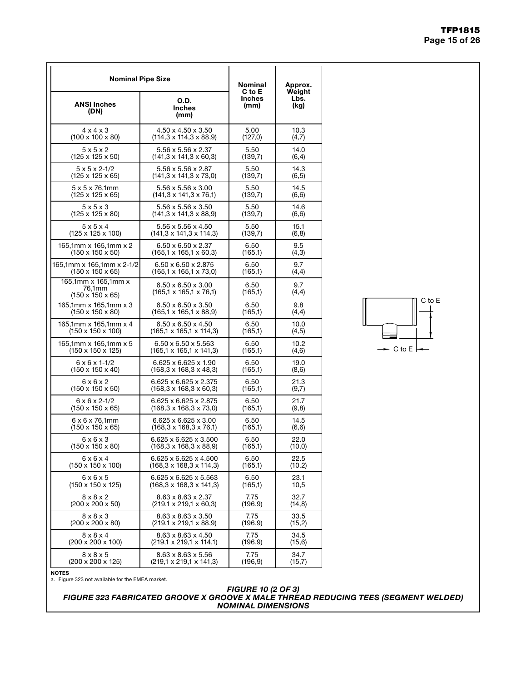| <b>Nominal Pipe Size</b>                                      | <b>Nominal</b><br>C to E                                             | Approx.<br>Weiaht     |              |
|---------------------------------------------------------------|----------------------------------------------------------------------|-----------------------|--------------|
| <b>ANSI Inches</b><br>(DN)                                    | O.D.<br><b>Inches</b><br>(mm)                                        | <b>Inches</b><br>(mm) | Lbs.<br>(kg) |
| $4 \times 4 \times 3$                                         | 4.50 x 4.50 x 3.50                                                   | 5.00                  | 10.3         |
| $(100 \times 100 \times 80)$                                  | $(114, 3 \times 114, 3 \times 88, 9)$                                | (127, 0)              | (4,7)        |
| 5x5x2                                                         | 5.56 x 5.56 x 2.37                                                   | 5.50                  | 14.0         |
| $(125 \times 125 \times 50)$                                  | $(141.3 \times 141.3 \times 60.3)$                                   | (139,7)               | (6, 4)       |
| $5 \times 5 \times 2 - 1/2$                                   | 5.56 x 5.56 x 2.87                                                   | 5.50                  | 14.3         |
| $(125 \times 125 \times 65)$                                  | $(141,3 \times 141,3 \times 73,0)$                                   | (139,7)               | (6, 5)       |
| $5 \times 5 \times 76,1$ mm                                   | 5.56 x 5.56 x 3.00                                                   | 5.50                  | 14.5         |
| (125 x 125 x 65)                                              | $(141, 3 \times 141, 3 \times 76, 1)$                                | (139,7)               | (6, 6)       |
| 5x5x3                                                         | 5.56 x 5.56 x 3.50                                                   | 5.50                  | 14.6         |
| $(125 \times 125 \times 80)$                                  | $(141,3 \times 141,3 \times 88,9)$                                   | (139,7)               | (6, 6)       |
| 5x5x4                                                         | $5.56 \times 5.56 \times 4.50$                                       | 5.50                  | 15.1         |
| $(125 \times 125 \times 100)$                                 | $(141.3 \times 141.3 \times 114.3)$                                  | (139,7)               | (6,8)        |
| 165,1mm x 165,1mm x 2                                         | $6.50 \times 6.50 \times 2.37$                                       | 6.50                  | 9.5          |
| $(150 \times 150 \times 50)$                                  | $(165.1 \times 165.1 \times 60.3)$                                   | (165,1)               | (4,3)        |
| 165,1mm x 165,1mm x 2-1/2                                     | $6.50 \times 6.50 \times 2.875$                                      | 6.50                  | 9.7          |
| $(150 \times 150 \times 65)$                                  | $(165, 1 \times 165, 1 \times 73, 0)$                                | (165,1)               | (4,4)        |
| 165,1mm x 165,1mm x<br>76,1mm<br>$(150 \times 150 \times 65)$ | $6.50 \times 6.50 \times 3.00$<br>$(165.1 \times 165.1 \times 76.1)$ | 6.50<br>(165,1)       | 9.7<br>(4,4) |
| 165.1mm x 165.1mm x 3                                         | $6.50 \times 6.50 \times 3.50$                                       | 6.50                  | 9.8          |
| $(150 \times 150 \times 80)$                                  | $(165, 1 \times 165, 1 \times 88, 9)$                                | (165,1)               | (4,4)        |
| 165,1mm x 165,1mm x 4                                         | $6.50 \times 6.50 \times 4.50$                                       | 6.50                  | 10.0         |
| $(150 \times 150 \times 100)$                                 | $(165, 1 \times 165, 1 \times 114, 3)$                               | (165,1)               | (4, 5)       |
| 165,1mm x 165,1mm x 5                                         | $6.50 \times 6.50 \times 5.563$                                      | 6.50                  | 10.2         |
| $(150 \times 150 \times 125)$                                 | $(165, 1 \times 165, 1 \times 141, 3)$                               | (165,1)               | (4,6)        |
| $6 \times 6 \times 1 - 1/2$                                   | 6.625 x 6.625 x 1.90                                                 | 6.50                  | 19.0         |
| $(150 \times 150 \times 40)$                                  | $(168, 3 \times 168, 3 \times 48, 3)$                                | (165,1)               | (8,6)        |
| $6 \times 6 \times 2$                                         | 6.625 x 6.625 x 2.375                                                | 6.50                  | 21.3         |
| (150 x 150 x 50)                                              | $(168, 3 \times 168, 3 \times 60, 3)$                                | (165,1)               | (9,7)        |
| $6 \times 6 \times 2 - 1/2$                                   | 6.625 x 6.625 x 2.875                                                | 6.50                  | 21.7         |
| (150 x 150 x 65)                                              | $(168, 3 \times 168, 3 \times 73, 0)$                                | (165,1)               | (9,8)        |
| $6 \times 6 \times 76,1$ mm                                   | $6.625 \times 6.625 \times 3.00$                                     | 6.50                  | 14.5         |
| (150 x 150 x 65)                                              | $(168, 3 \times 168, 3 \times 76, 1)$                                | (165,1)               | (6, 6)       |
| $6 \times 6 \times 3$                                         | 6.625 x 6.625 x 3.500                                                | 6.50                  | 22.0         |
| $(150 \times 150 \times 80)$                                  | $(168, 3 \times 168, 3 \times 88, 9)$                                | (165,1)               | (10, 0)      |
| 6 x 6 x 4                                                     | 6.625 x 6.625 x 4.500                                                | 6.50                  | 22.5         |
| $(150 \times 150 \times 100)$                                 | (168,3 x 168,3 x 114,3)                                              | (165,1)               | (10.2)       |
| 6x6x5                                                         | 6.625 x 6.625 x 5.563                                                | 6.50                  | 23.1         |
| $(150 \times 150 \times 125)$                                 | (168,3 x 168,3 x 141,3)                                              | (165,1)               | 10,5         |
| $8 \times 8 \times 2$                                         | $8.63 \times 8.63 \times 2.37$                                       | 7.75                  | 32.7         |
| $(200 \times 200 \times 50)$                                  | $(219,1 \times 219,1 \times 60,3)$                                   | (196,9)               | (14, 8)      |
| $8 \times 8 \times 3$                                         | 8.63 x 8.63 x 3.50                                                   | 7.75                  | 33.5         |
| $(200 \times 200 \times 80)$                                  | $(219, 1 \times 219, 1 \times 88, 9)$                                | (196, 9)              | (15,2)       |
| $8 \times 8 \times 4$                                         | 8.63 x 8.63 x 4.50                                                   | 7.75                  | 34.5         |
| $(200 \times 200 \times 100)$                                 | $(219,1 \times 219,1 \times 114,1)$                                  | (196,9)               | (15, 6)      |
| $8 \times 8 \times 5$                                         | $8.63 \times 8.63 \times 5.56$                                       | 7.75                  | 34.7         |
| $(200 \times 200 \times 125)$                                 | $(219, 1 \times 219, 1 \times 141, 3)$                               | (196,9)               | (15,7)       |



NOTES a. Figure 323 not available for the EMEA market.

#### *FIGURE 10 (2 OF 3) FIGURE 323 FABRICATED GROOVE X GROOVE X MALE THREAD REDUCING TEES (SEGMENT WELDED) NOMINAL DIMENSIONS*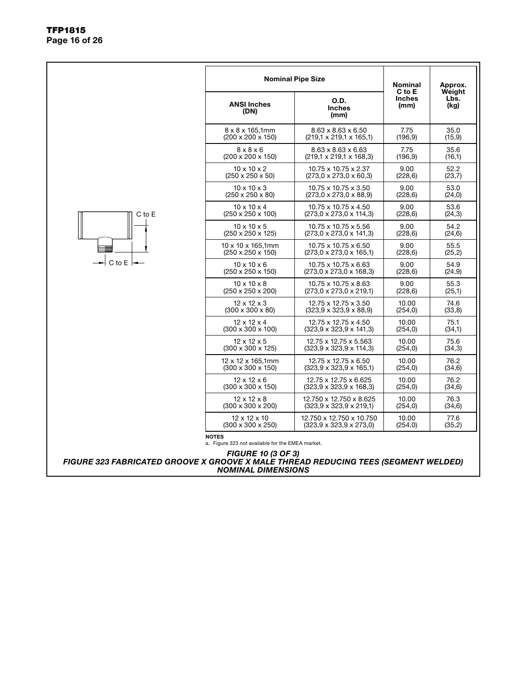|                                                                                    | <b>Nominal Pipe Size</b>                                         | Nominal                                | Approx.                         |                        |
|------------------------------------------------------------------------------------|------------------------------------------------------------------|----------------------------------------|---------------------------------|------------------------|
|                                                                                    | <b>ANSI Inches</b><br>(DN)                                       | <b>O.D.</b><br><b>Inches</b><br>(mm)   | C to E<br><b>Inches</b><br>(mm) | Weight<br>Lbs.<br>(kg) |
|                                                                                    | $8 \times 8 \times 165,1$ mm                                     | $8.63 \times 8.63 \times 6.50$         | 7.75                            | 35.0                   |
|                                                                                    | $(200 \times 200 \times 150)$                                    | $(219.1 \times 219.1 \times 165.1)$    | (196.9)                         | (15, 9)                |
|                                                                                    | $8 \times 8 \times 6$                                            | 8.63 x 8.63 x 6.63                     | 7.75                            | 35.6                   |
|                                                                                    | $(200 \times 200 \times 150)$                                    | $(219,1 \times 219,1 \times 168,3)$    | (196, 9)                        | (16,1)                 |
|                                                                                    | $10 \times 10 \times 2$                                          | 10.75 x 10.75 x 2.37                   | 9.00                            | 52.2                   |
|                                                                                    | $(250 \times 250 \times 50)$                                     | $(273.0 \times 273.0 \times 60.3)$     | (228, 6)                        | (23,7)                 |
|                                                                                    | $10 \times 10 \times 3$                                          | 10.75 x 10.75 x 3.50                   | 9.00                            | 53.0                   |
|                                                                                    | $(250 \times 250 \times 80)$                                     | $(273,0 \times 273,0 \times 88,9)$     | (228, 6)                        | (24,0)                 |
| C to E                                                                             | $10 \times 10 \times 4$                                          | 10.75 x 10.75 x 4.50                   | 9.00                            | 53.6                   |
|                                                                                    | $(250 \times 250 \times 100)$                                    | $(273.0 \times 273.0 \times 114.3)$    | (228, 6)                        | (24,3)                 |
|                                                                                    | $10 \times 10 \times 5$                                          | 10.75 x 10.75 x 5.56                   | 9.00                            | 54.2                   |
|                                                                                    | (250 x 250 x 125)                                                | $(273,0 \times 273,0 \times 141,3)$    | (228, 6)                        | (24, 6)                |
|                                                                                    | 10 x 10 x 165,1mm                                                | 10.75 x 10.75 x 6.50                   | 9.00                            | 55.5                   |
|                                                                                    | $(250 \times 250 \times 150)$                                    | $(273,0 \times 273,0 \times 165,1)$    | (228, 6)                        | (25,2)                 |
| C to $E$ $\rightarrow$                                                             | $10 \times 10 \times 6$                                          | 10.75 x 10.75 x 6.63                   | 9.00                            | 54.9                   |
|                                                                                    | (250 x 250 x 150)                                                | $(273,0 \times 273,0 \times 168,3)$    | (228, 6)                        | (24, 9)                |
|                                                                                    | $10 \times 10 \times 8$                                          | 10.75 x 10.75 x 8.63                   | 9.00                            | 55.3                   |
|                                                                                    | $(250 \times 250 \times 200)$                                    | $(273,0 \times 273,0 \times 219,1)$    | (228, 6)                        | (25,1)                 |
|                                                                                    | $12 \times 12 \times 3$                                          | 12.75 x 12.75 x 3.50                   | 10.00                           | 74.6                   |
|                                                                                    | $(300 \times 300 \times 80)$                                     | $(323.9 \times 323.9 \times 88.9)$     | (254, 0)                        | (33,8)                 |
|                                                                                    | $12 \times 12 \times 4$                                          | 12.75 x 12.75 x 4.50                   | 10.00                           | 75.1                   |
|                                                                                    | $(300 \times 300 \times 100)$                                    | $(323.9 \times 323.9 \times 141.3)$    | (254, 0)                        | (34,1)                 |
|                                                                                    | $12 \times 12 \times 5$                                          | 12.75 x 12.75 x 5.563                  | 10.00                           | 75.6                   |
|                                                                                    | $(300 \times 300 \times 125)$                                    | $(323.9 \times 323.9 \times 114.3)$    | (254, 0)                        | (34,3)                 |
|                                                                                    | $12 \times 12 \times 165,1$ mm                                   | 12.75 x 12.75 x 6.50                   | 10.00                           | 76.2                   |
|                                                                                    | $(300 \times 300 \times 150)$                                    | $(323.9 \times 323.9 \times 165.1)$    | (254, 0)                        | (34,6)                 |
|                                                                                    | $12 \times 12 \times 6$                                          | 12.75 x 12.75 x 6.625                  | 10.00                           | 76.2                   |
|                                                                                    | $(300 \times 300 \times 150)$                                    | $(323.9 \times 323.9 \times 168.3)$    | (254, 0)                        | (34, 6)                |
|                                                                                    | $12 \times 12 \times 8$                                          | 12.750 x 12.750 x 8.625                | 10.00                           | 76.3                   |
|                                                                                    | $(300 \times 300 \times 200)$                                    | $(323, 9 \times 323, 9 \times 219, 1)$ | (254, 0)                        | (34,6)                 |
|                                                                                    | $12 \times 12 \times 10$                                         | 12.750 x 12.750 x 10.750               | 10.00                           | 77.6                   |
|                                                                                    | $(300 \times 300 \times 250)$                                    | $(323, 9 \times 323, 9 \times 273, 0)$ | (254, 0)                        | (35,2)                 |
|                                                                                    | <b>NOTES</b><br>a. Figure 323 not available for the EMEA market. |                                        |                                 |                        |
| FIGURE 323 FABRICATED GROOVE X GROOVE X MALE THREAD REDUCING TEES (SEGMENT WELDED) | <b>FIGURE 10 (3 OF 3)</b><br><b>NOMINAL DIMENSIONS</b>           |                                        |                                 |                        |

٦

#### TFP1815 Page 16 of 26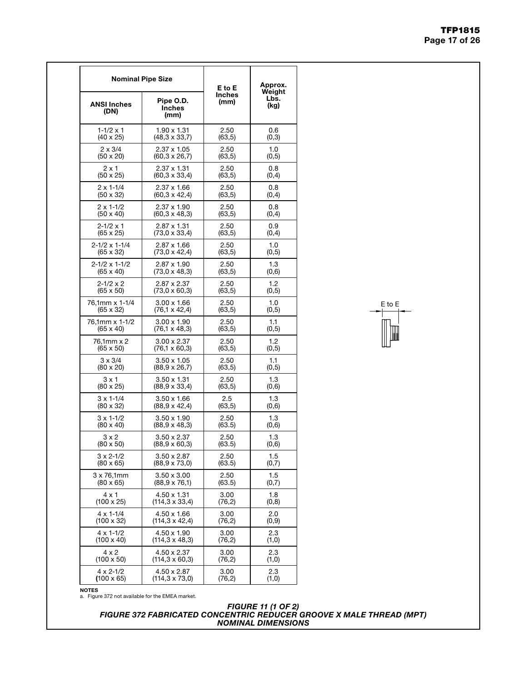|                          | <b>Nominal Pipe Size</b><br>Pipe O.D.<br><b>Inches</b><br>(DN)<br>(mm) |         | Approx.                |
|--------------------------|------------------------------------------------------------------------|---------|------------------------|
| <b>ANSI Inches</b>       |                                                                        |         | Weight<br>Lbs.<br>(kg) |
| $1 - 1/2 \times 1$       | $1.90 \times 1.31$                                                     | 2.50    | 0.6                    |
| $(40 \times 25)$         | $(48,3 \times 33,7)$                                                   | (63, 5) | (0,3)                  |
| $2 \times 3/4$           | 2.37 x 1.05                                                            | 2.50    | 1.0                    |
| $(50 \times 20)$         | $(60, 3 \times 26, 7)$                                                 | (63, 5) | (0,5)                  |
| $2 \times 1$             | 2.37 x 1.31                                                            | 2.50    | 0.8                    |
| (50 x 25)                | $(60, 3 \times 33, 4)$                                                 | (63, 5) | (0, 4)                 |
| $2 \times 1 - 1/4$       | 2.37 x 1.66                                                            | 2.50    | 0.8                    |
| $(50 \times 32)$         | (60,3 x 42,4)                                                          | (63, 5) | (0, 4)                 |
| $2 \times 1 - 1/2$       | 2.37 x 1.90                                                            | 2.50    | 0.8                    |
| $(50 \times 40)$         | $(60, 3 \times 48, 3)$                                                 | (63, 5) | (0,4)                  |
| $2 - 1/2 \times 1$       | 2.87 x 1.31                                                            | 2.50    | 0.9                    |
| $(65 \times 25)$         | $(73.0 \times 33.4)$                                                   | (63, 5) | (0, 4)                 |
| $2 - 1/2 \times 1 - 1/4$ | 2.87 x 1.66                                                            | 2.50    | 1.0                    |
| $(65 \times 32)$         | $(73.0 \times 42.4)$                                                   | (63,5)  | (0,5)                  |
| $2 - 1/2 \times 1 - 1/2$ | 2.87 x 1.90                                                            | 2.50    | 1.3                    |
| $(65 \times 40)$         | $(73,0 \times 48,3)$                                                   | (63, 5) | (0,6)                  |
| $2 - 1/2 \times 2$       | 2.87 x 2.37                                                            | 2.50    | 1.2                    |
| (65 x 50)                | $(73,0 \times 60,3)$                                                   | (63, 5) | (0,5)                  |
| 76.1mm x 1-1/4           | $3.00 \times 1.66$                                                     | 2.50    | 1.0                    |
| $(65 \times 32)$         | $(76, 1 \times 42, 4)$                                                 | (63, 5) | (0, 5)                 |
| 76,1mm x 1-1/2           | $3.00 \times 1.90$                                                     | 2.50    | $1.1$                  |
| $(65 \times 40)$         | (76,1 x 48,3)                                                          | (63, 5) | (0,5)                  |
| 76,1mm x 2               | $3.00 \times 2.37$                                                     | 2.50    | 1.2                    |
| (65 x 50)                | (76,1 x 60,3)                                                          | (63, 5) | (0,5)                  |
| $3 \times 3/4$           | $3.50 \times 1.05$                                                     | 2.50    | 1.1                    |
| (80 x 20)                | $(88, 9 \times 26, 7)$                                                 | (63, 5) | (0,5)                  |
| $3 \times 1$             | $3.50 \times 1.31$                                                     | 2.50    | 1.3                    |
| (80 x 25)                | $(88, 9 \times 33, 4)$                                                 | (63, 5) | (0,6)                  |
| $3 \times 1 - 1/4$       | $3.50 \times 1.66$                                                     | $2.5\,$ | 1.3                    |
| $(80 \times 32)$         | $(88, 9 \times 42, 4)$                                                 | (63,5)  | (0,6)                  |
| $3 \times 1 - 1/2$       | $3.50 \times 1.90$                                                     | 2.50    | 1.3                    |
| (80 x 40)                | $(88, 9 \times 48, 3)$                                                 | (63.5)  | (0,6)                  |
| 3 x 2                    | $3.50 \times 2.37$                                                     | 2.50    | 1.3                    |
| $(80 \times 50)$         | $(88, 9 \times 60, 3)$                                                 | (63.5)  | (0, 6)                 |
| $3 \times 2 - 1/2$       | $3.50 \times 2.87$                                                     | 2.50    | 1.5                    |
| $(80 \times 65)$         | $(88, 9 \times 73, 0)$                                                 | (63.5)  | (0,7)                  |
| $3 \times 76,1$ mm       | $3.50 \times 3.00$                                                     | 2.50    | 1.5                    |
| (80 x 65)                | $(88, 9 \times 76, 1)$                                                 | (63.5)  | (0,7)                  |
| $4 \times 1$             | 4.50 x 1.31                                                            | 3.00    | 1.8                    |
| (100 x 25)               | (114,3 x 33,4)                                                         | (76,2)  | (0,8)                  |
| $4 \times 1 - 1/4$       | 4.50 x 1.66                                                            | 3.00    | 2.0                    |
| (100 x 32)               | (114,3 x 42,4)                                                         | (76,2)  | (0,9)                  |
| $4 \times 1 - 1/2$       | 4.50 x 1.90                                                            | 3.00    | 2.3                    |
| $(100 \times 40)$        | (114,3 x 48,3)                                                         | (76,2)  | (1,0)                  |
| 4 x 2                    | 4.50 x 2.37                                                            | 3.00    | 2.3                    |
| $(100 \times 50)$        | (114,3 x 60,3)                                                         | (76, 2) | (1,0)                  |
| $4 \times 2 - 1/2$       | 4.50 x 2.87                                                            | 3.00    | 2.3                    |
| $(100 \times 65)$        | $(114, 3 \times 73, 0)$                                                | (76, 2) | (1,0)                  |



NOTES

a. Figure 372 not available for the EMEA market.

#### *FIGURE 11 (1 OF 2) FIGURE 372 FABRICATED CONCENTRIC REDUCER GROOVE X MALE THREAD (MPT) NOMINAL DIMENSIONS*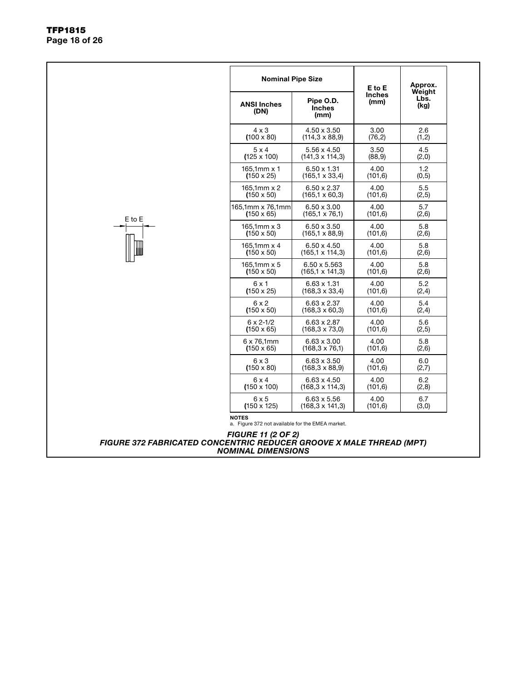|                                                                     | <b>ANSI Inches</b><br>(DN)                                                                    | Pipe O.D.<br><b>Inches</b><br>(mm) | E to E<br><b>Inches</b><br>(mm) | Approx.<br>Weight<br>Lbs.<br>(kg) |  |  |  |  |  |  |
|---------------------------------------------------------------------|-----------------------------------------------------------------------------------------------|------------------------------------|---------------------------------|-----------------------------------|--|--|--|--|--|--|
|                                                                     | $4 \times 3$                                                                                  | 4.50 x 3.50                        | 3.00                            | 2.6                               |  |  |  |  |  |  |
|                                                                     | $(100 \times 80)$                                                                             | $(114.3 \times 88.9)$              | (76, 2)                         | (1,2)                             |  |  |  |  |  |  |
|                                                                     | $5 \times 4$                                                                                  | 5.56 x 4.50                        | 3.50                            | 4.5                               |  |  |  |  |  |  |
|                                                                     | $(125 \times 100)$                                                                            | $(141.3 \times 114.3)$             | (88, 9)                         | (2,0)                             |  |  |  |  |  |  |
|                                                                     | 165,1mm $x$ 1                                                                                 | $6.50 \times 1.31$                 | 4.00                            | 1.2                               |  |  |  |  |  |  |
|                                                                     | $(150 \times 25)$                                                                             | $(165.1 \times 33.4)$              | (101, 6)                        | (0, 5)                            |  |  |  |  |  |  |
|                                                                     | 165,1mm x 2                                                                                   | $6.50 \times 2.37$                 | 4.00                            | 5.5                               |  |  |  |  |  |  |
|                                                                     | $(150 \times 50)$                                                                             | $(165.1 \times 60.3)$              | (101, 6)                        | (2,5)                             |  |  |  |  |  |  |
| E to E                                                              | 165,1mm x 76,1mm                                                                              | $6.50 \times 3.00$                 | 4.00                            | 5.7                               |  |  |  |  |  |  |
|                                                                     | $(150 \times 65)$                                                                             | $(165.1 \times 76.1)$              | (101.6)                         | (2,6)                             |  |  |  |  |  |  |
|                                                                     | $165.1$ mm $\times$ 3                                                                         | $6.50 \times 3.50$                 | 4.00                            | 5.8                               |  |  |  |  |  |  |
|                                                                     | $(150 \times 50)$                                                                             | $(165, 1 \times 88, 9)$            | (101, 6)                        | (2,6)                             |  |  |  |  |  |  |
|                                                                     | $165.1$ mm $\times$ 4                                                                         | $6.50 \times 4.50$                 | 4.00                            | 5.8                               |  |  |  |  |  |  |
|                                                                     | $(150 \times 50)$                                                                             | $(165.1 \times 114.3)$             | (101.6)                         | (2,6)                             |  |  |  |  |  |  |
|                                                                     | $165.1$ mm $\times$ 5                                                                         | $6.50 \times 5.563$                | 4.00                            | 5.8                               |  |  |  |  |  |  |
|                                                                     | $(150 \times 50)$                                                                             | $(165, 1 \times 141, 3)$           | (101, 6)                        | (2,6)                             |  |  |  |  |  |  |
|                                                                     | 6x1                                                                                           | $6.63 \times 1.31$                 | 4.00                            | 5.2                               |  |  |  |  |  |  |
|                                                                     | $(150 \times 25)$                                                                             | $(168.3 \times 33.4)$              | (101.6)                         | (2,4)                             |  |  |  |  |  |  |
|                                                                     | 6x2                                                                                           | $6.63 \times 2.37$                 | 4.00                            | 5.4                               |  |  |  |  |  |  |
|                                                                     | $(150 \times 50)$                                                                             | $(168, 3 \times 60, 3)$            | (101, 6)                        | (2,4)                             |  |  |  |  |  |  |
|                                                                     | $6 \times 2 - 1/2$                                                                            | $6.63 \times 2.87$                 | 4.00                            | 5.6                               |  |  |  |  |  |  |
|                                                                     | $(150 \times 65)$                                                                             | $(168, 3 \times 73, 0)$            | (101, 6)                        | (2,5)                             |  |  |  |  |  |  |
|                                                                     | $6 \times 76.1$ mm                                                                            | $6.63 \times 3.00$                 | 4.00                            | 5.8                               |  |  |  |  |  |  |
|                                                                     | $(150 \times 65)$                                                                             | $(168, 3 \times 76, 1)$            | (101.6)                         | (2,6)                             |  |  |  |  |  |  |
|                                                                     | $6 \times 3$                                                                                  | $6.63 \times 3.50$                 | 4.00                            | 6.0                               |  |  |  |  |  |  |
|                                                                     | $(150 \times 80)$                                                                             | $(168.3 \times 88.9)$              | (101.6)                         | (2,7)                             |  |  |  |  |  |  |
|                                                                     | $6 \times 4$                                                                                  | $6.63 \times 4.50$                 | 4.00                            | 6.2                               |  |  |  |  |  |  |
|                                                                     | $(150 \times 100)$                                                                            | (168,3 x 114,3)                    | (101.6)                         | (2,8)                             |  |  |  |  |  |  |
|                                                                     | 6x5                                                                                           | $6.63 \times 5.56$                 | 4.00                            | 6.7                               |  |  |  |  |  |  |
|                                                                     | $(150 \times 125)$                                                                            | $(168.3 \times 141.3)$             | (101, 6)                        | (3,0)                             |  |  |  |  |  |  |
| FIGURE 372 FABRICATED CONCENTRIC REDUCER GROOVE X MALE THREAD (MPT) | <b>NOTES</b><br>a. Figure 372 not available for the EMEA market.<br><b>FIGURE 11 (2 OF 2)</b> |                                    |                                 |                                   |  |  |  |  |  |  |
|                                                                     | <b>NOMINAL DIMENSIONS</b>                                                                     |                                    |                                 |                                   |  |  |  |  |  |  |

Nominal Pipe Size

Approx.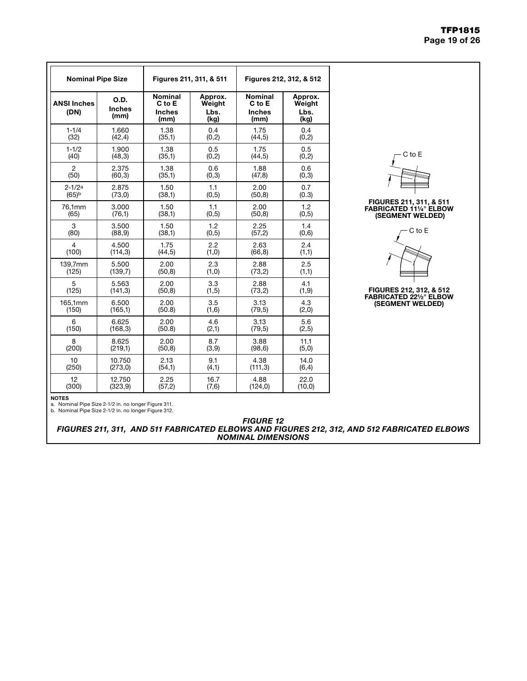#### TFP1815 Page 19 of 26

| <b>Nominal Pipe Size</b>   |                               |                                                   | Figures 211, 311, & 511           | Figures 212, 312, & 512                           |                                   |  |  |
|----------------------------|-------------------------------|---------------------------------------------------|-----------------------------------|---------------------------------------------------|-----------------------------------|--|--|
| <b>ANSI Inches</b><br>(DN) | O.D.<br><b>Inches</b><br>(mm) | <b>Nominal</b><br>C to E<br><b>Inches</b><br>(mm) | Approx.<br>Weight<br>Lbs.<br>(kg) | <b>Nominal</b><br>C to E<br><b>Inches</b><br>(mm) | Approx.<br>Weight<br>Lbs.<br>(kg) |  |  |
| $1 - 1/4$                  | 1.660                         | 1.38                                              | 0.4                               | 1.75                                              | 0.4                               |  |  |
| (32)                       | (42, 4)                       | (35,1)                                            | (0,2)                             | (44, 5)                                           | (0, 2)                            |  |  |
| $1 - 1/2$                  | 1.900                         | 1.38                                              | 0.5                               | 1.75                                              | 0.5                               |  |  |
| (40)                       | (48,3)                        | (35,1)                                            | (0,2)                             | (44,5)                                            | (0,2)                             |  |  |
| $\overline{2}$             | 2.375                         | 1.38                                              | 0.6                               | 1.88                                              | 0.6                               |  |  |
| (50)                       | (60, 3)                       | (35,1)                                            | (0,3)                             | (47, 8)                                           | (0,3)                             |  |  |
| $2 - 1/2a$                 | 2.875                         | 1.50                                              | 1.1                               | 2.00                                              | 0.7                               |  |  |
| $(65)$ <sub>b</sub>        | (73,0)                        | (38,1)                                            | (0,5)                             | (50, 8)                                           | (0.3)                             |  |  |
| 76,1mm                     | 3.000                         | 1.50                                              | 1.1                               | 2.00                                              | 1.2                               |  |  |
| (65)                       | (76,1)                        | (38,1)                                            | (0,5)                             | (50, 8)                                           | (0, 5)                            |  |  |
| 3                          | 3.500                         | 1.50                                              | 1.2                               | 2.25                                              | 1.4                               |  |  |
| (80)                       | (88, 9)                       | (38,1)                                            | (0,5)                             | (57,2)                                            | (0,6)                             |  |  |
| 4                          | 4.500                         | 1.75                                              | 2.2                               | 2.63                                              | 2.4                               |  |  |
| (100)                      | (114,3)                       | (44, 5)                                           | (1,0)                             | (66, 8)                                           | (1,1)                             |  |  |
| 139,7mm                    | 5.500                         | 2.00                                              | 2.3                               | 2.88                                              | 2.5                               |  |  |
| (125)                      | (139,7)                       | (50, 8)                                           | (1,0)                             | (73,2)                                            | (1,1)                             |  |  |
| 5                          | 5.563                         | 2.00                                              | 3.3                               | 2.88                                              | 4.1                               |  |  |
| (125)                      | (141, 3)                      | (50, 8)                                           | (1, 5)                            | (73,2)                                            | (1, 9)                            |  |  |
| 165,1mm                    | 6.500                         | 2.00                                              | 3.5                               | 3.13                                              | 4.3                               |  |  |
| (150)                      | (165,1)                       | (50.8)                                            | (1,6)                             | (79, 5)                                           | (2,0)                             |  |  |
| 6                          | 6.625                         | 2.00                                              | 4.6                               | 3.13                                              | 5.6                               |  |  |
| (150)                      | (168, 3)                      | (50.8)                                            | (2,1)                             | (79, 5)                                           | (2, 5)                            |  |  |
| 8                          | 8.625                         | 2.00                                              | 8.7                               | 3.88                                              | 11.1                              |  |  |
| (200)                      | (219,1)                       | (50, 8)                                           | (3,9)                             | (98, 6)                                           | (5,0)                             |  |  |
| 10                         | 10.750                        | 2.13                                              | 9.1                               | 4.38                                              | 14.0                              |  |  |
| (250)                      | (273,0)                       | (54,1)                                            | (4, 1)                            | (111,3)                                           | (6, 4)                            |  |  |
| 12                         | 12.750                        | 2.25                                              | 16.7                              | 4.88                                              | 22.0                              |  |  |
| (300)                      | (323, 9)                      | (57,2)                                            | (7,6)                             | (124, 0)                                          | (10, 0)                           |  |  |



#### FIGURES 211, 311, & 511 FABRICATED 11¼° ELBOW (SEGMENT WELDED)



## FIGURES 212, 312, & 512

FABRICATED 22½° ELBOW (SEGMENT WELDED)

NOTES

a. Nominal Pipe Size 2-1/2 in. no longer Figure 311. b. Nominal Pipe Size 2-1/2 in. no longer Figure 312.

*FIGURE 12*

*FIGURES 211, 311, AND 511 FABRICATED ELBOWS AND FIGURES 212, 312, AND 512 FABRICATED ELBOWS NOMINAL DIMENSIONS*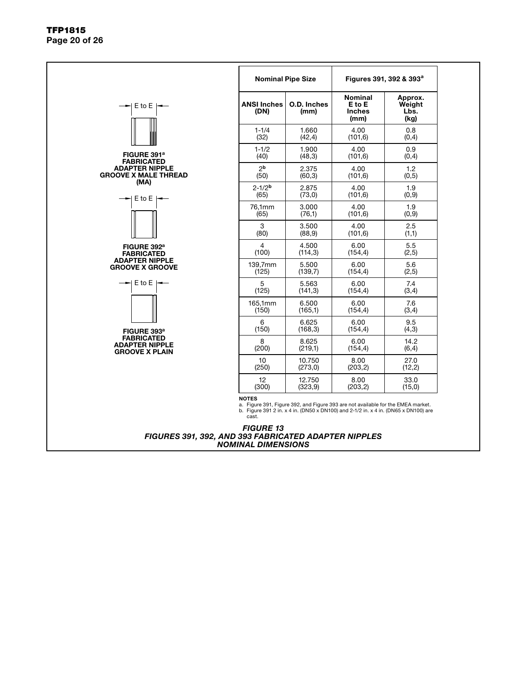#### TFP1815 Page 20 of 26

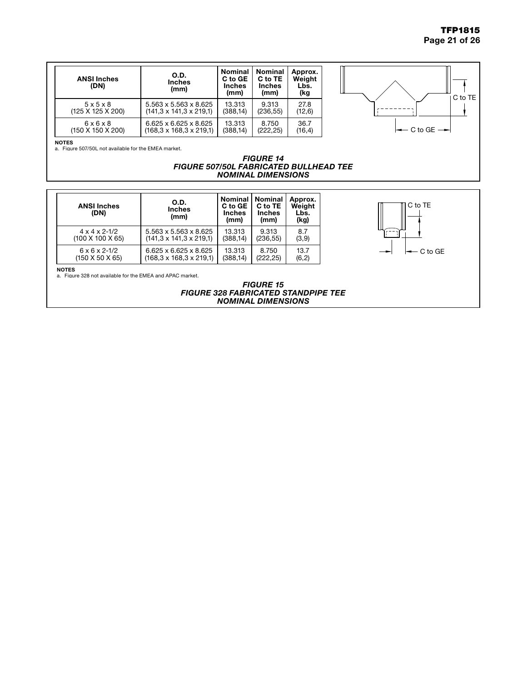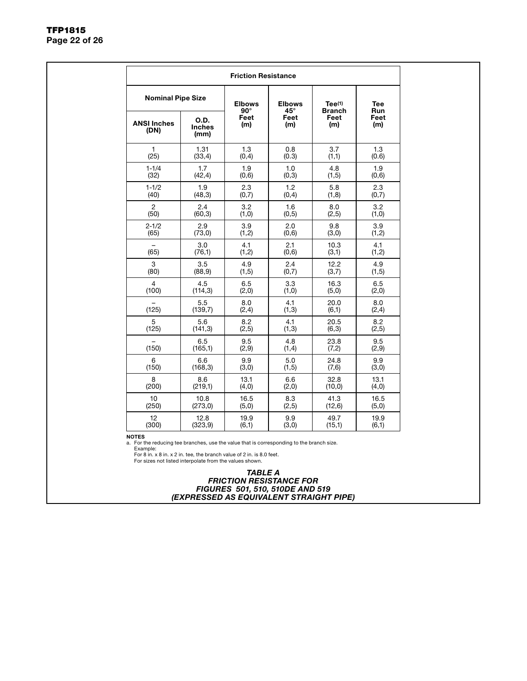|                            |                                      | <b>Friction Resistance</b>  |                               |                         |                          |
|----------------------------|--------------------------------------|-----------------------------|-------------------------------|-------------------------|--------------------------|
| <b>Nominal Pipe Size</b>   |                                      | <b>Elbows</b><br>$90^\circ$ | <b>Elbows</b><br>$45^{\circ}$ | Tee(1)<br><b>Branch</b> | <b>Tee</b><br><b>Run</b> |
| <b>ANSI Inches</b><br>(DN) | <b>O.D.</b><br><b>Inches</b><br>(mm) | Feet<br>(m)                 | Feet<br>(m)                   | Feet<br>(m)             | Feet<br>(m)              |
| $\mathbf{1}$               | 1.31                                 | 1.3                         | 0.8                           | 3.7                     | 1.3                      |
| (25)                       | (33,4)                               | (0,4)                       | (0.3)                         | (1,1)                   | (0.6)                    |
| $1 - 1/4$                  | 1.7                                  | 1.9                         | 1.0                           | 4.8                     | 1.9                      |
| (32)                       | (42, 4)                              | (0,6)                       | (0,3)                         | (1,5)                   | (0,6)                    |
| $1 - 1/2$                  | 1.9                                  | 2.3                         | 1.2                           | 5.8                     | 2.3                      |
| (40)                       | (48,3)                               | (0,7)                       | (0, 4)                        | (1,8)                   | (0,7)                    |
| $\overline{2}$             | 2.4                                  | 3.2                         | 1.6                           | 8.0                     | 3.2                      |
| (50)                       | (60, 3)                              | (1,0)                       | (0, 5)                        | (2, 5)                  | (1,0)                    |
| $2 - 1/2$                  | 2.9                                  | 3.9                         | 2.0                           | 9.8                     | 3.9                      |
| (65)                       | (73,0)                               | (1,2)                       | (0,6)                         | (3,0)                   | (1,2)                    |
| $\overline{\phantom{0}}$   | 3.0                                  | 4.1                         | 2.1                           | 10.3                    | 4.1                      |
| (65)                       | (76,1)                               | (1,2)                       | (0,6)                         | (3,1)                   | (1,2)                    |
| 3                          | 3.5                                  | 4.9                         | 2.4                           | 12.2                    | 4.9                      |
| (80)                       | (88, 9)                              | (1, 5)                      | (0,7)                         | (3,7)                   | (1, 5)                   |
| $\overline{4}$             | 4.5                                  | 6.5                         | 3.3                           | 16.3                    | 6.5                      |
| (100)                      | (114,3)                              | (2,0)                       | (1,0)                         | (5,0)                   | (2,0)                    |
| (125)                      | 5.5                                  | 8.0                         | 4.1                           | 20.0                    | 8.0                      |
|                            | (139,7)                              | (2,4)                       | (1,3)                         | (6,1)                   | (2,4)                    |
| 5                          | 5.6                                  | 8.2                         | 4.1                           | 20.5                    | 8.2                      |
| (125)                      | (141, 3)                             | (2, 5)                      | (1,3)                         | (6,3)                   | (2, 5)                   |
| (150)                      | 6.5                                  | 9.5                         | 4.8                           | 23.8                    | 9.5                      |
|                            | (165,1)                              | (2,9)                       | (1,4)                         | (7,2)                   | (2,9)                    |
| 6                          | 6.6                                  | 9.9                         | 5.0                           | 24.8                    | 9.9                      |
| (150)                      | (168, 3)                             | (3,0)                       | (1, 5)                        | (7,6)                   | (3,0)                    |
| 8                          | 8.6                                  | 13.1                        | 6.6                           | 32.8                    | 13.1                     |
| (200)                      | (219,1)                              | (4, 0)                      | (2,0)                         | (10, 0)                 | (4,0)                    |
| 10                         | 10.8                                 | 16.5                        | 8.3                           | 41.3                    | 16.5                     |
| (250)                      | (273,0)                              | (5,0)                       | (2, 5)                        | (12,6)                  | (5,0)                    |
| 12                         | 12.8                                 | 19.9                        | 9.9                           | 49.7                    | 19.9                     |
| (300)                      | (323, 9)                             | (6,1)                       | (3,0)                         | (15,1)                  | (6,1)                    |

NOTES

a. For the reducing tee branches, use the value that is corresponding to the branch size.

Example:<br>For 8 in. x 8 in. x 2 in. tee, the branch value of 2 in. is 8.0 feet.<br>For sizes not listed interpolate from the values shown.

*TABLE A FRICTION RESISTANCE FOR FIGURES 501, 510, 510DE AND 519 (EXPRESSED AS EQUIVALENT STRAIGHT PIPE)*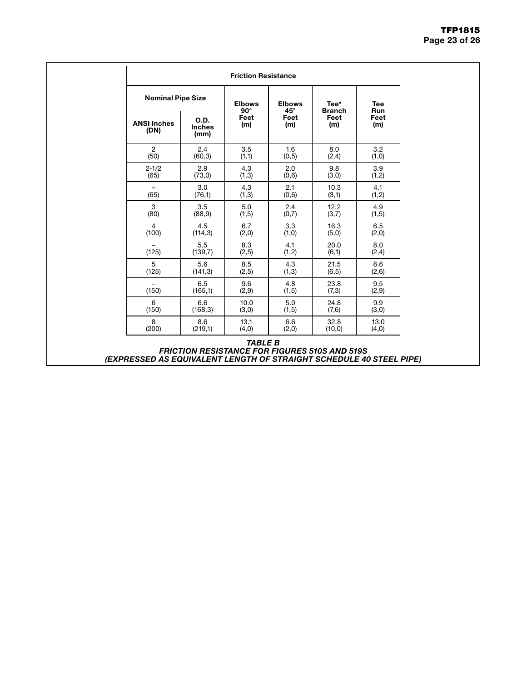|                                                                     | <b>Friction Resistance</b>                           |                                          |                             |              |                               |                       |                          |  |
|---------------------------------------------------------------------|------------------------------------------------------|------------------------------------------|-----------------------------|--------------|-------------------------------|-----------------------|--------------------------|--|
|                                                                     | <b>Nominal Pipe Size</b>                             |                                          | <b>Elbows</b><br>$90^\circ$ |              | <b>Elbows</b><br>$45^{\circ}$ | Tee*<br><b>Branch</b> | <b>Tee</b><br><b>Run</b> |  |
| <b>ANSI Inches</b><br>(DN)                                          | O.D.<br><b>Inches</b><br>(mm)                        | Feet<br>Feet<br>(m)<br>(m)<br>3.5<br>1.6 |                             | Feet<br>(m)  | Feet<br>(m)                   |                       |                          |  |
| $\overline{2}$<br>(50)                                              | 2.4<br>(60, 3)                                       | (1,1)                                    | (0, 5)                      | 8.0<br>(2,4) | 3.2<br>(1,0)                  |                       |                          |  |
| $2 - 1/2$                                                           | 2.9                                                  | 4.3                                      | 2.0                         | 9.8          | 3.9                           |                       |                          |  |
| (65)                                                                | (73,0)                                               | (1,3)                                    | (0,6)                       | (3,0)        | (1,2)                         |                       |                          |  |
| (65)                                                                | 3.0                                                  | 4.3                                      | 2.1                         | 10.3         | 4.1                           |                       |                          |  |
|                                                                     | (76,1)                                               | (1,3)                                    | (0,6)                       | (3,1)        | (1,2)                         |                       |                          |  |
| 3                                                                   | 3.5                                                  | 5.0                                      | 2.4                         | 12.2         | 4.9                           |                       |                          |  |
| (80)                                                                | (88, 9)                                              | (1, 5)                                   | (0,7)                       | (3,7)        | (1,5)                         |                       |                          |  |
| $\overline{4}$                                                      | 4.5                                                  | 6.7                                      | 3.3                         | 16.3         | 6.5                           |                       |                          |  |
| (100)                                                               | (114,3)                                              | (2, 0)                                   | (1,0)                       | (5,0)        | (2, 0)                        |                       |                          |  |
| (125)                                                               | 5.5                                                  | 8.3                                      | 4.1                         | 20.0         | 8.0                           |                       |                          |  |
|                                                                     | (139,7)                                              | (2, 5)                                   | (1,2)                       | (6,1)        | (2,4)                         |                       |                          |  |
| 5                                                                   | 5.6                                                  | 8.5                                      | 4.3                         | 21.5         | 8.6                           |                       |                          |  |
| (125)                                                               | (141, 3)                                             | (2, 5)                                   | (1,3)                       | (6, 5)       | (2,6)                         |                       |                          |  |
| ÷                                                                   | 6.5                                                  | 9.6                                      | 4.8                         | 23.8         | 9.5                           |                       |                          |  |
| (150)                                                               | (165,1)                                              | (2,9)                                    | (1, 5)                      | (7,3)        | (2,9)                         |                       |                          |  |
| 6                                                                   | 6.6                                                  | 10.0                                     | 5.0                         | 24.8         | 9.9                           |                       |                          |  |
| (150)                                                               | (168, 3)                                             | (3,0)                                    | (1, 5)                      | (7, 6)       | (3,0)                         |                       |                          |  |
| 8                                                                   | 8.6                                                  | 13.1                                     | 6.6                         | 32.8         | 13.0                          |                       |                          |  |
| (200)                                                               | (219,1)                                              | (4,0)                                    | (2,0)                       | (10, 0)      | (4,0)                         |                       |                          |  |
| (EXPRESSED AS EQUIVALENT LENGTH OF STRAIGHT SCHEDULE 40 STEEL PIPE) | <b>FRICTION RESISTANCE FOR FIGURES 510S AND 519S</b> | <b>TABLE B</b>                           |                             |              |                               |                       |                          |  |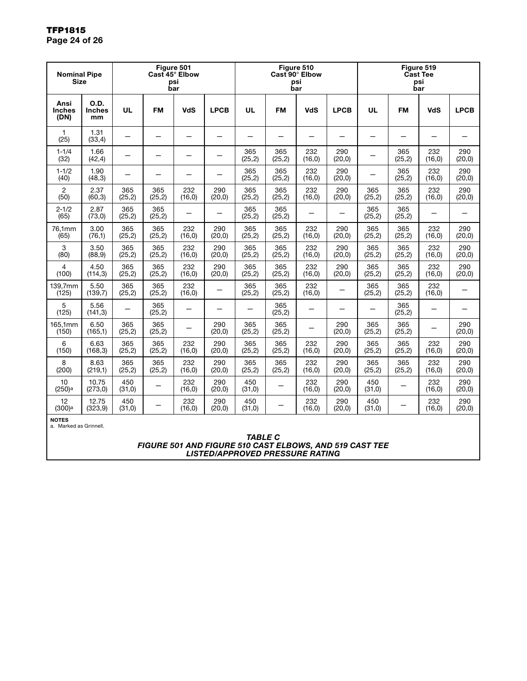| <b>Nominal Pipe</b><br><b>Size</b>     |                             | Figure 501<br>Cast 45° Elbow<br>psi<br>bar |                |                |                          | Figure 510<br>Cast 90° Elbow<br>bar | psi            |                | Figure 519<br><b>Cast Tee</b><br>psi<br>bar |                |                          |                          |                |
|----------------------------------------|-----------------------------|--------------------------------------------|----------------|----------------|--------------------------|-------------------------------------|----------------|----------------|---------------------------------------------|----------------|--------------------------|--------------------------|----------------|
| Ansi<br><b>Inches</b><br>(DN)          | O.D.<br><b>Inches</b><br>mm | <b>UL</b>                                  | <b>FM</b>      | <b>VdS</b>     | <b>LPCB</b>              | <b>UL</b>                           | <b>FM</b>      | <b>VdS</b>     | <b>LPCB</b>                                 | UL             | <b>FM</b>                | <b>VdS</b>               | <b>LPCB</b>    |
| $\mathbf{1}$<br>(25)                   | 1.31<br>(33,4)              |                                            |                |                | —                        |                                     |                | —              |                                             | —              | $\overline{\phantom{0}}$ |                          |                |
| $1 - 1/4$<br>(32)                      | 1.66<br>(42, 4)             | —                                          | —              | —              |                          | 365<br>(25, 2)                      | 365<br>(25, 2) | 232<br>(16, 0) | 290<br>(20, 0)                              | —              | 365<br>(25, 2)           | 232<br>(16, 0)           | 290<br>(20, 0) |
| $1 - 1/2$<br>(40)                      | 1.90<br>(48, 3)             |                                            |                | —              | $\qquad \qquad -$        | 365<br>(25, 2)                      | 365<br>(25, 2) | 232<br>(16, 0) | 290<br>(20, 0)                              | —              | 365<br>(25, 2)           | 232<br>(16, 0)           | 290<br>(20, 0) |
| 2<br>(50)                              | 2.37<br>(60, 3)             | 365<br>(25, 2)                             | 365<br>(25, 2) | 232<br>(16, 0) | 290<br>(20, 0)           | 365<br>(25, 2)                      | 365<br>(25, 2) | 232<br>(16, 0) | 290<br>(20, 0)                              | 365<br>(25, 2) | 365<br>(25, 2)           | 232<br>(16, 0)           | 290<br>(20, 0) |
| $2 - 1/2$<br>(65)                      | 2.87<br>(73, 0)             | 365<br>(25, 2)                             | 365<br>(25, 2) | —              | $\qquad \qquad -$        | 365<br>(25, 2)                      | 365<br>(25, 2) | —              | —                                           | 365<br>(25, 2) | 365<br>(25, 2)           | -                        |                |
| 76,1mm<br>(65)                         | 3.00<br>(76,1)              | 365<br>(25, 2)                             | 365<br>(25,2)  | 232<br>(16, 0) | 290<br>(20, 0)           | 365<br>(25, 2)                      | 365<br>(25, 2) | 232<br>(16, 0) | 290<br>(20,0)                               | 365<br>(25, 2) | 365<br>(25, 2)           | 232<br>(16, 0)           | 290<br>(20, 0) |
| 3<br>(80)                              | 3.50<br>(88, 9)             | 365<br>(25, 2)                             | 365<br>(25, 2) | 232<br>(16, 0) | 290<br>(20, 0)           | 365<br>(25, 2)                      | 365<br>(25, 2) | 232<br>(16, 0) | 290<br>(20,0)                               | 365<br>(25, 2) | 365<br>(25, 2)           | 232<br>(16, 0)           | 290<br>(20, 0) |
| $\overline{4}$<br>(100)                | 4.50<br>(114, 3)            | 365<br>(25, 2)                             | 365<br>(25, 2) | 232<br>(16, 0) | 290<br>(20,0)            | 365<br>(25, 2)                      | 365<br>(25, 2) | 232<br>(16, 0) | 290<br>(20, 0)                              | 365<br>(25, 2) | 365<br>(25, 2)           | 232<br>(16, 0)           | 290<br>(20, 0) |
| 139,7mm<br>(125)                       | 5.50<br>(139,7)             | 365<br>(25, 2)                             | 365<br>(25,2)  | 232<br>(16, 0) |                          | 365<br>(25, 2)                      | 365<br>(25, 2) | 232<br>(16, 0) |                                             | 365<br>(25,2)  | 365<br>(25, 2)           | 232<br>(16,0)            |                |
| 5<br>(125)                             | 5.56<br>(141, 3)            |                                            | 365<br>(25, 2) |                | $\overline{\phantom{0}}$ |                                     | 365<br>(25, 2) |                |                                             |                | 365<br>(25, 2)           | $\overline{\phantom{0}}$ |                |
| 165,1mm<br>(150)                       | 6.50<br>(165,1)             | 365<br>(25, 2)                             | 365<br>(25, 2) |                | 290<br>(20, 0)           | 365<br>(25, 2)                      | 365<br>(25, 2) |                | 290<br>(20, 0)                              | 365<br>(25, 2) | 365<br>(25, 2)           | $\overline{\phantom{0}}$ | 290<br>(20, 0) |
| 6<br>(150)                             | 6.63<br>(168, 3)            | 365<br>(25, 2)                             | 365<br>(25,2)  | 232<br>(16, 0) | 290<br>(20, 0)           | 365<br>(25, 2)                      | 365<br>(25, 2) | 232<br>(16, 0) | 290<br>(20,0)                               | 365<br>(25, 2) | 365<br>(25, 2)           | 232<br>(16, 0)           | 290<br>(20, 0) |
| 8<br>(200)                             | 8.63<br>(219,1)             | 365<br>(25, 2)                             | 365<br>(25, 2) | 232<br>(16, 0) | 290<br>(20, 0)           | 365<br>(25, 2)                      | 365<br>(25, 2) | 232<br>(16, 0) | 290<br>(20,0)                               | 365<br>(25, 2) | 365<br>(25, 2)           | 232<br>(16, 0)           | 290<br>(20, 0) |
| 10<br>(250)a                           | 10.75<br>(273, 0)           | 450<br>(31,0)                              | —              | 232<br>(16, 0) | 290<br>(20, 0)           | 450<br>(31,0)                       | —              | 232<br>(16, 0) | 290<br>(20, 0)                              | 450<br>(31,0)  | -                        | 232<br>(16, 0)           | 290<br>(20, 0) |
| 12<br>(300) <sup>a</sup>               | 12.75<br>(323, 9)           | 450<br>(31,0)                              |                | 232<br>(16, 0) | 290<br>(20, 0)           | 450<br>(31,0)                       |                | 232<br>(16, 0) | 290<br>(20,0)                               | 450<br>(31,0)  |                          | 232<br>(16, 0)           | 290<br>(20, 0) |
| <b>NOTES</b><br>a. Marked as Grinnell. |                             |                                            |                |                |                          |                                     |                |                |                                             |                |                          |                          |                |

*TABLE C FIGURE 501 AND FIGURE 510 CAST ELBOWS, AND 519 CAST TEE LISTED/APPROVED PRESSURE RATING*

#### TFP1815 Page 24 of 26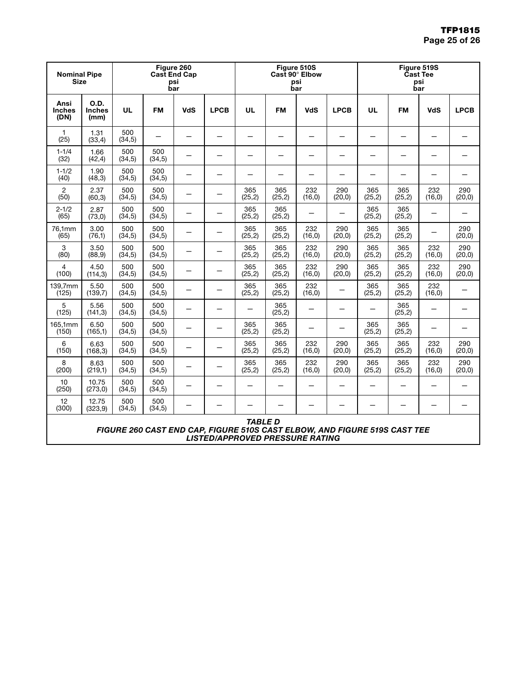| Figure 260<br><b>Nominal Pipe</b><br><b>Cast End Cap</b><br><b>Size</b><br>psi<br>bar |                                                                                                                                       |                | Figure 510S<br>Cast 90° Elbow<br>psi<br>bar |                          |                          |                | Figure 519S<br><b>Cast Tee</b><br>psi<br>bar |                          |                          |                |                          |                          |                          |
|---------------------------------------------------------------------------------------|---------------------------------------------------------------------------------------------------------------------------------------|----------------|---------------------------------------------|--------------------------|--------------------------|----------------|----------------------------------------------|--------------------------|--------------------------|----------------|--------------------------|--------------------------|--------------------------|
| Ansi<br><b>Inches</b><br>(DN)                                                         | <b>O.D.</b><br><b>Inches</b><br>(mm)                                                                                                  | UL             | <b>FM</b>                                   | <b>VdS</b>               | <b>LPCB</b>              | <b>UL</b>      | FM                                           | <b>VdS</b>               | <b>LPCB</b>              | UL             | <b>FM</b>                | VdS                      | <b>LPCB</b>              |
| 1<br>(25)                                                                             | 1.31<br>(33,4)                                                                                                                        | 500<br>(34,5)  | —                                           | —                        | $\overline{\phantom{0}}$ | —              | —                                            | $\qquad \qquad -$        | $\overline{\phantom{0}}$ | —              | —                        | —                        | —                        |
| $1 - 1/4$<br>(32)                                                                     | 1.66<br>(42, 4)                                                                                                                       | 500<br>(34,5)  | 500<br>(34,5)                               | —                        |                          |                |                                              | -                        |                          |                | -                        |                          |                          |
| $1 - 1/2$<br>(40)                                                                     | 1.90<br>(48,3)                                                                                                                        | 500<br>(34,5)  | 500<br>(34,5)                               | —                        |                          | -              |                                              | -                        |                          |                | $\overline{\phantom{0}}$ |                          | $\overline{\phantom{0}}$ |
| $\overline{2}$<br>(50)                                                                | 2.37<br>(60, 3)                                                                                                                       | 500<br>(34,5)  | 500<br>(34,5)                               |                          |                          | 365<br>(25, 2) | 365<br>(25, 2)                               | 232<br>(16, 0)           | 290<br>(20, 0)           | 365<br>(25, 2) | 365<br>(25,2)            | 232<br>(16, 0)           | 290<br>(20, 0)           |
| $2 - 1/2$<br>(65)                                                                     | 2.87<br>(73, 0)                                                                                                                       | 500<br>(34,5)  | 500<br>(34,5)                               |                          |                          | 365<br>(25, 2) | 365<br>(25, 2)                               | —                        |                          | 365<br>(25,2)  | 365<br>(25, 2)           | -                        |                          |
| 76,1mm<br>(65)                                                                        | 3.00<br>(76,1)                                                                                                                        | 500<br>(34,5)  | 500<br>(34,5)                               | —                        | —                        | 365<br>(25, 2) | 365<br>(25, 2)                               | 232<br>(16, 0)           | 290<br>(20, 0)           | 365<br>(25,2)  | 365<br>(25, 2)           |                          | 290<br>(20, 0)           |
| 3<br>(80)                                                                             | 3.50<br>(88, 9)                                                                                                                       | 500<br>(34,5)  | 500<br>(34, 5)                              | —                        | —                        | 365<br>(25, 2) | 365<br>(25, 2)                               | 232<br>(16, 0)           | 290<br>(20, 0)           | 365<br>(25,2)  | 365<br>(25, 2)           | 232<br>(16, 0)           | 290<br>(20, 0)           |
| 4<br>(100)                                                                            | 4.50<br>(114, 3)                                                                                                                      | 500<br>(34,5)  | 500<br>(34, 5)                              | —                        | $\qquad \qquad -$        | 365<br>(25,2)  | 365<br>(25,2)                                | 232<br>(16, 0)           | 290<br>(20, 0)           | 365<br>(25, 2) | 365<br>(25, 2)           | 232<br>(16, 0)           | 290<br>(20,0)            |
| 139,7mm<br>(125)                                                                      | 5.50<br>(139,7)                                                                                                                       | 500<br>(34,5)  | 500<br>(34,5)                               | —                        | $\overline{\phantom{0}}$ | 365<br>(25, 2) | 365<br>(25,2)                                | 232<br>(16, 0)           |                          | 365<br>(25, 2) | 365<br>(25, 2)           | 232<br>(16, 0)           | —                        |
| 5<br>(125)                                                                            | 5.56<br>(141,3)                                                                                                                       | 500<br>(34,5)  | 500<br>(34, 5)                              | —                        |                          | —              | 365<br>(25,2)                                | $\overline{\phantom{0}}$ |                          | —              | 365<br>(25, 2)           | -                        | $\overline{\phantom{0}}$ |
| 165,1mm<br>(150)                                                                      | 6.50<br>(165,1)                                                                                                                       | 500<br>(34,5)  | 500<br>(34,5)                               | —                        |                          | 365<br>(25,2)  | 365<br>(25, 2)                               |                          |                          | 365<br>(25, 2) | 365<br>(25, 2)           |                          | —                        |
| 6<br>(150)                                                                            | 6.63<br>(168, 3)                                                                                                                      | 500<br>(34,5)  | 500<br>(34,5)                               |                          |                          | 365<br>(25,2)  | 365<br>(25, 2)                               | 232<br>(16, 0)           | 290<br>(20, 0)           | 365<br>(25, 2) | 365<br>(25, 2)           | 232<br>(16, 0)           | 290<br>(20, 0)           |
| 8<br>(200)                                                                            | 8.63<br>(219,1)                                                                                                                       | 500<br>(34,5)  | 500<br>(34,5)                               | $\overline{\phantom{0}}$ |                          | 365<br>(25, 2) | 365<br>(25, 2)                               | 232<br>(16, 0)           | 290<br>(20, 0)           | 365<br>(25, 2) | 365<br>(25, 2)           | 232<br>(16, 0)           | 290<br>(20,0)            |
| 10<br>(250)                                                                           | 10.75<br>(273, 0)                                                                                                                     | 500<br>(34,5)  | 500<br>(34,5)                               | —                        |                          |                |                                              |                          |                          |                | $\qquad \qquad -$        | $\overline{\phantom{0}}$ |                          |
| 12<br>(300)                                                                           | 12.75<br>(323, 9)                                                                                                                     | 500<br>(34, 5) | 500<br>(34, 5)                              |                          |                          |                |                                              |                          |                          |                | -                        |                          | —                        |
|                                                                                       | <b>TABLE D</b><br>FIGURE 260 CAST END CAP, FIGURE 510S CAST ELBOW, AND FIGURE 519S CAST TEE<br><b>LISTED/APPROVED PRESSURE RATING</b> |                |                                             |                          |                          |                |                                              |                          |                          |                |                          |                          |                          |

l